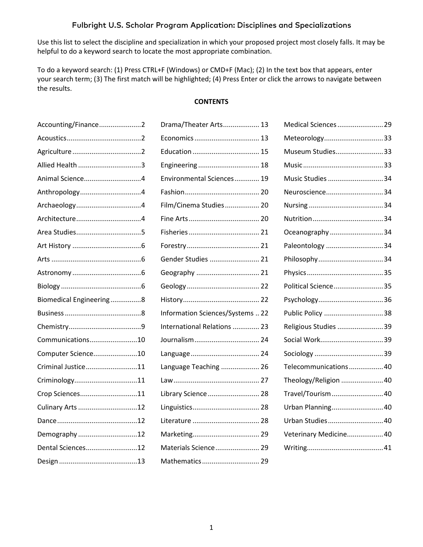Use this list to select the discipline and specialization in which your proposed project most closely falls. It may be helpful to do a keyword search to locate the most appropriate combination.

To do a keyword search: (1) Press CTRL+F (Windows) or CMD+F (Mac); (2) In the text box that appears, enter your search term; (3) The first match will be highlighted; (4) Press Enter or click the arrows to navigate between the results.

#### **CONTENTS**

| Drama/Theater Arts 13            | Medical Sciences  29   |
|----------------------------------|------------------------|
|                                  | Meteorology33          |
|                                  | Museum Studies33       |
| Engineering  18                  |                        |
| Environmental Sciences 19        | Music Studies 34       |
|                                  | Neuroscience34         |
| Film/Cinema Studies 20           |                        |
|                                  |                        |
|                                  | Oceanography 34        |
|                                  | Paleontology 34        |
| Gender Studies  21               |                        |
| Geography  21                    |                        |
|                                  | Political Science35    |
|                                  |                        |
| Information Sciences/Systems  22 | Public Policy 38       |
| International Relations  23      | Religious Studies 39   |
|                                  |                        |
|                                  |                        |
| Language Teaching  26            | Telecommunications 40  |
|                                  | Theology/Religion  40  |
| Library Science  28              | Travel/Tourism 40      |
|                                  | Urban Planning 40      |
|                                  | Urban Studies 40       |
|                                  |                        |
|                                  | Veterinary Medicine 40 |
| Materials Science 29             |                        |
|                                  |                        |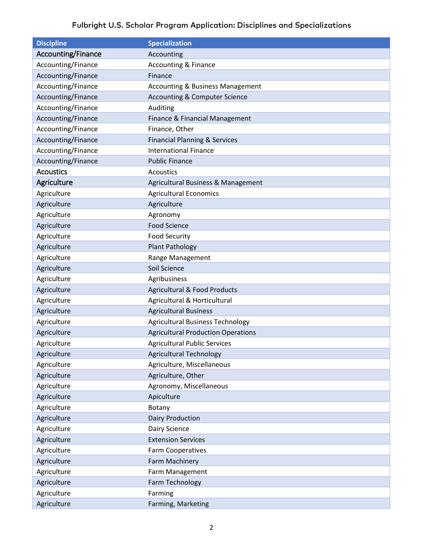<span id="page-1-2"></span><span id="page-1-1"></span><span id="page-1-0"></span>

| <b>Discipline</b>  | <b>Specialization</b>                       |
|--------------------|---------------------------------------------|
| Accounting/Finance | Accounting                                  |
| Accounting/Finance | <b>Accounting &amp; Finance</b>             |
| Accounting/Finance | Finance                                     |
| Accounting/Finance | <b>Accounting &amp; Business Management</b> |
| Accounting/Finance | <b>Accounting &amp; Computer Science</b>    |
| Accounting/Finance | Auditing                                    |
| Accounting/Finance | Finance & Financial Management              |
| Accounting/Finance | Finance, Other                              |
| Accounting/Finance | <b>Financial Planning &amp; Services</b>    |
| Accounting/Finance | <b>International Finance</b>                |
| Accounting/Finance | <b>Public Finance</b>                       |
| <b>Acoustics</b>   | Acoustics                                   |
| Agriculture        | Agricultural Business & Management          |
| Agriculture        | <b>Agricultural Economics</b>               |
| Agriculture        | Agriculture                                 |
| Agriculture        | Agronomy                                    |
| Agriculture        | <b>Food Science</b>                         |
| Agriculture        | <b>Food Security</b>                        |
| Agriculture        | <b>Plant Pathology</b>                      |
| Agriculture        | Range Management                            |
| Agriculture        | Soil Science                                |
| Agriculture        | Agribusiness                                |
| Agriculture        | <b>Agricultural &amp; Food Products</b>     |
| Agriculture        | Agricultural & Horticultural                |
| Agriculture        | <b>Agricultural Business</b>                |
| Agriculture        | <b>Agricultural Business Technology</b>     |
| Agriculture        | <b>Agricultural Production Operations</b>   |
| Agriculture        | <b>Agricultural Public Services</b>         |
| Agriculture        | <b>Agricultural Technology</b>              |
| Agriculture        | Agriculture, Miscellaneous                  |
| Agriculture        | Agriculture, Other                          |
| Agriculture        | Agronomy, Miscellaneous                     |
| Agriculture        | Apiculture                                  |
| Agriculture        | Botany                                      |
| Agriculture        | <b>Dairy Production</b>                     |
| Agriculture        | Dairy Science                               |
| Agriculture        | <b>Extension Services</b>                   |
| Agriculture        | <b>Farm Cooperatives</b>                    |
| Agriculture        | Farm Machinery                              |
| Agriculture        | Farm Management                             |
| Agriculture        | Farm Technology                             |
| Agriculture        | Farming                                     |
| Agriculture        | Farming, Marketing                          |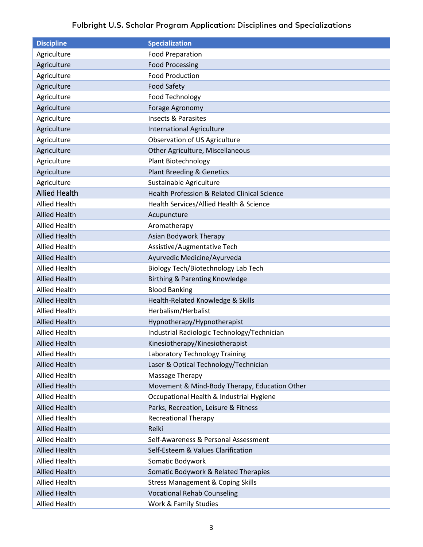<span id="page-2-0"></span>

| <b>Discipline</b>    | <b>Specialization</b>                         |
|----------------------|-----------------------------------------------|
| Agriculture          | <b>Food Preparation</b>                       |
| Agriculture          | <b>Food Processing</b>                        |
| Agriculture          | <b>Food Production</b>                        |
| Agriculture          | <b>Food Safety</b>                            |
| Agriculture          | Food Technology                               |
| Agriculture          | Forage Agronomy                               |
| Agriculture          | <b>Insects &amp; Parasites</b>                |
| Agriculture          | <b>International Agriculture</b>              |
| Agriculture          | Observation of US Agriculture                 |
| Agriculture          | Other Agriculture, Miscellaneous              |
| Agriculture          | Plant Biotechnology                           |
| Agriculture          | <b>Plant Breeding &amp; Genetics</b>          |
| Agriculture          | Sustainable Agriculture                       |
| <b>Allied Health</b> | Health Profession & Related Clinical Science  |
| <b>Allied Health</b> | Health Services/Allied Health & Science       |
| <b>Allied Health</b> | Acupuncture                                   |
| <b>Allied Health</b> | Aromatherapy                                  |
| <b>Allied Health</b> | Asian Bodywork Therapy                        |
| <b>Allied Health</b> | Assistive/Augmentative Tech                   |
| <b>Allied Health</b> | Ayurvedic Medicine/Ayurveda                   |
| <b>Allied Health</b> | Biology Tech/Biotechnology Lab Tech           |
| <b>Allied Health</b> | Birthing & Parenting Knowledge                |
| <b>Allied Health</b> | <b>Blood Banking</b>                          |
| <b>Allied Health</b> | Health-Related Knowledge & Skills             |
| <b>Allied Health</b> | Herbalism/Herbalist                           |
| <b>Allied Health</b> | Hypnotherapy/Hypnotherapist                   |
| <b>Allied Health</b> | Industrial Radiologic Technology/Technician   |
| <b>Allied Health</b> | Kinesiotherapy/Kinesiotherapist               |
| <b>Allied Health</b> | Laboratory Technology Training                |
| <b>Allied Health</b> | Laser & Optical Technology/Technician         |
| <b>Allied Health</b> | Massage Therapy                               |
| <b>Allied Health</b> | Movement & Mind-Body Therapy, Education Other |
| <b>Allied Health</b> | Occupational Health & Industrial Hygiene      |
| <b>Allied Health</b> | Parks, Recreation, Leisure & Fitness          |
| <b>Allied Health</b> | <b>Recreational Therapy</b>                   |
| <b>Allied Health</b> | Reiki                                         |
| <b>Allied Health</b> | Self-Awareness & Personal Assessment          |
| <b>Allied Health</b> | Self-Esteem & Values Clarification            |
| <b>Allied Health</b> | Somatic Bodywork                              |
| <b>Allied Health</b> | Somatic Bodywork & Related Therapies          |
| <b>Allied Health</b> | <b>Stress Management &amp; Coping Skills</b>  |
| <b>Allied Health</b> | <b>Vocational Rehab Counseling</b>            |
| <b>Allied Health</b> | Work & Family Studies                         |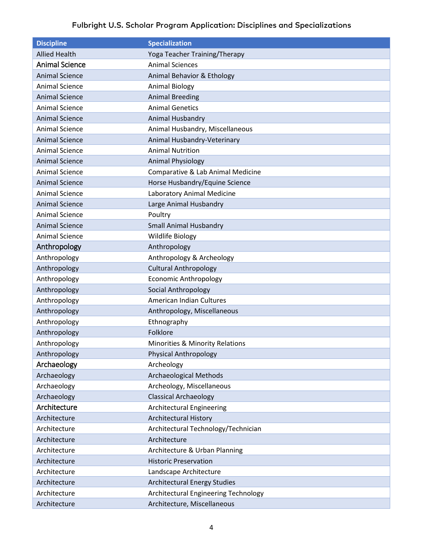<span id="page-3-3"></span><span id="page-3-2"></span><span id="page-3-1"></span><span id="page-3-0"></span>

| <b>Discipline</b>     | <b>Specialization</b>                      |
|-----------------------|--------------------------------------------|
| <b>Allied Health</b>  | Yoga Teacher Training/Therapy              |
| <b>Animal Science</b> | <b>Animal Sciences</b>                     |
| <b>Animal Science</b> | Animal Behavior & Ethology                 |
| <b>Animal Science</b> | <b>Animal Biology</b>                      |
| <b>Animal Science</b> | <b>Animal Breeding</b>                     |
| <b>Animal Science</b> | <b>Animal Genetics</b>                     |
| <b>Animal Science</b> | Animal Husbandry                           |
| <b>Animal Science</b> | Animal Husbandry, Miscellaneous            |
| <b>Animal Science</b> | Animal Husbandry-Veterinary                |
| <b>Animal Science</b> | <b>Animal Nutrition</b>                    |
| <b>Animal Science</b> | <b>Animal Physiology</b>                   |
| <b>Animal Science</b> | Comparative & Lab Animal Medicine          |
| <b>Animal Science</b> | Horse Husbandry/Equine Science             |
| <b>Animal Science</b> | Laboratory Animal Medicine                 |
| <b>Animal Science</b> | Large Animal Husbandry                     |
| <b>Animal Science</b> | Poultry                                    |
| <b>Animal Science</b> | <b>Small Animal Husbandry</b>              |
| <b>Animal Science</b> | Wildlife Biology                           |
| Anthropology          | Anthropology                               |
| Anthropology          | Anthropology & Archeology                  |
| Anthropology          | <b>Cultural Anthropology</b>               |
| Anthropology          | <b>Economic Anthropology</b>               |
| Anthropology          | Social Anthropology                        |
| Anthropology          | American Indian Cultures                   |
| Anthropology          | Anthropology, Miscellaneous                |
| Anthropology          | Ethnography                                |
| Anthropology          | Folklore                                   |
| Anthropology          | <b>Minorities &amp; Minority Relations</b> |
| Anthropology          | <b>Physical Anthropology</b>               |
| Archaeology           | Archeology                                 |
| Archaeology           | <b>Archaeological Methods</b>              |
| Archaeology           | Archeology, Miscellaneous                  |
| Archaeology           | <b>Classical Archaeology</b>               |
| Architecture          | Architectural Engineering                  |
| Architecture          | <b>Architectural History</b>               |
| Architecture          | Architectural Technology/Technician        |
| Architecture          | Architecture                               |
| Architecture          | Architecture & Urban Planning              |
| Architecture          | <b>Historic Preservation</b>               |
| Architecture          | Landscape Architecture                     |
| Architecture          | <b>Architectural Energy Studies</b>        |
| Architecture          | Architectural Engineering Technology       |
| Architecture          | Architecture, Miscellaneous                |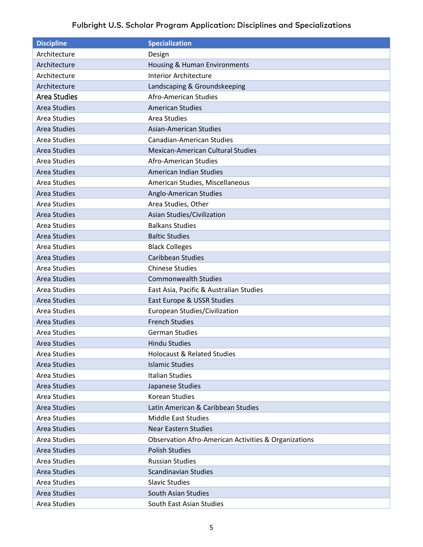<span id="page-4-0"></span>

| <b>Discipline</b>   | <b>Specialization</b>                                           |
|---------------------|-----------------------------------------------------------------|
| Architecture        | Design                                                          |
| Architecture        | Housing & Human Environments                                    |
| Architecture        | <b>Interior Architecture</b>                                    |
| Architecture        | Landscaping & Groundskeeping                                    |
| <b>Area Studies</b> | Afro-American Studies                                           |
| <b>Area Studies</b> | <b>American Studies</b>                                         |
| <b>Area Studies</b> | Area Studies                                                    |
| <b>Area Studies</b> | <b>Asian-American Studies</b>                                   |
| Area Studies        | <b>Canadian-American Studies</b>                                |
| <b>Area Studies</b> | <b>Mexican-American Cultural Studies</b>                        |
| <b>Area Studies</b> | Afro-American Studies                                           |
| <b>Area Studies</b> | American Indian Studies                                         |
| <b>Area Studies</b> | American Studies, Miscellaneous                                 |
| <b>Area Studies</b> | Anglo-American Studies                                          |
| <b>Area Studies</b> | Area Studies, Other                                             |
| <b>Area Studies</b> | Asian Studies/Civilization                                      |
| <b>Area Studies</b> | <b>Balkans Studies</b>                                          |
| <b>Area Studies</b> | <b>Baltic Studies</b>                                           |
| <b>Area Studies</b> | <b>Black Colleges</b>                                           |
| <b>Area Studies</b> | <b>Caribbean Studies</b>                                        |
| <b>Area Studies</b> | <b>Chinese Studies</b>                                          |
| <b>Area Studies</b> | <b>Commonwealth Studies</b>                                     |
| <b>Area Studies</b> | East Asia, Pacific & Australian Studies                         |
| <b>Area Studies</b> | East Europe & USSR Studies                                      |
| <b>Area Studies</b> | European Studies/Civilization                                   |
| <b>Area Studies</b> | <b>French Studies</b>                                           |
| <b>Area Studies</b> | <b>German Studies</b>                                           |
| Area Studies        | <b>Hindu Studies</b>                                            |
| Area Studies        | <b>Holocaust &amp; Related Studies</b>                          |
| <b>Area Studies</b> | <b>Islamic Studies</b>                                          |
| Area Studies        | <b>Italian Studies</b>                                          |
| Area Studies        | Japanese Studies                                                |
| Area Studies        | Korean Studies                                                  |
| Area Studies        | Latin American & Caribbean Studies                              |
| Area Studies        | <b>Middle East Studies</b>                                      |
| Area Studies        | <b>Near Eastern Studies</b>                                     |
| Area Studies        | <b>Observation Afro-American Activities &amp; Organizations</b> |
| Area Studies        | <b>Polish Studies</b>                                           |
| Area Studies        | <b>Russian Studies</b>                                          |
| <b>Area Studies</b> | <b>Scandinavian Studies</b>                                     |
| Area Studies        | <b>Slavic Studies</b>                                           |
| <b>Area Studies</b> | South Asian Studies                                             |
| Area Studies        | South East Asian Studies                                        |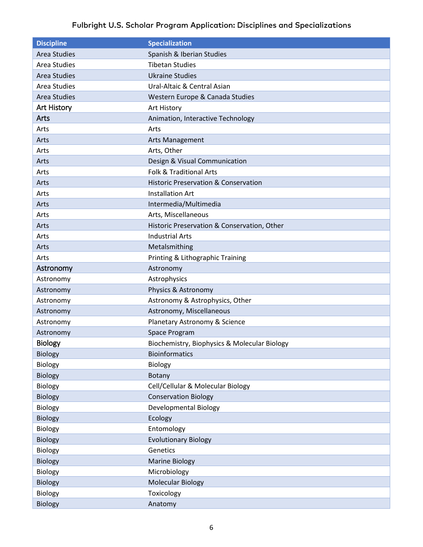<span id="page-5-3"></span><span id="page-5-2"></span><span id="page-5-1"></span><span id="page-5-0"></span>

| <b>Discipline</b>   | <b>Specialization</b>                           |
|---------------------|-------------------------------------------------|
| <b>Area Studies</b> | Spanish & Iberian Studies                       |
| Area Studies        | <b>Tibetan Studies</b>                          |
| <b>Area Studies</b> | <b>Ukraine Studies</b>                          |
| Area Studies        | Ural-Altaic & Central Asian                     |
| Area Studies        | Western Europe & Canada Studies                 |
| <b>Art History</b>  | Art History                                     |
| Arts                | Animation, Interactive Technology               |
| Arts                | Arts                                            |
| Arts                | <b>Arts Management</b>                          |
| Arts                | Arts, Other                                     |
| Arts                | Design & Visual Communication                   |
| Arts                | Folk & Traditional Arts                         |
| Arts                | <b>Historic Preservation &amp; Conservation</b> |
| Arts                | <b>Installation Art</b>                         |
| Arts                | Intermedia/Multimedia                           |
| Arts                | Arts, Miscellaneous                             |
| Arts                | Historic Preservation & Conservation, Other     |
| Arts                | <b>Industrial Arts</b>                          |
| Arts                | Metalsmithing                                   |
| Arts                | Printing & Lithographic Training                |
| Astronomy           | Astronomy                                       |
| Astronomy           | Astrophysics                                    |
| Astronomy           | Physics & Astronomy                             |
| Astronomy           | Astronomy & Astrophysics, Other                 |
| Astronomy           | Astronomy, Miscellaneous                        |
| Astronomy           | Planetary Astronomy & Science                   |
| Astronomy           | Space Program                                   |
| Biology             | Biochemistry, Biophysics & Molecular Biology    |
| <b>Biology</b>      | Bioinformatics                                  |
| Biology             | Biology                                         |
| <b>Biology</b>      | Botany                                          |
| Biology             | Cell/Cellular & Molecular Biology               |
| <b>Biology</b>      | <b>Conservation Biology</b>                     |
| Biology             | <b>Developmental Biology</b>                    |
| <b>Biology</b>      | Ecology                                         |
| <b>Biology</b>      | Entomology                                      |
| Biology             | <b>Evolutionary Biology</b>                     |
| Biology             | Genetics                                        |
| <b>Biology</b>      | <b>Marine Biology</b>                           |
| Biology             | Microbiology                                    |
| Biology             | <b>Molecular Biology</b>                        |
| Biology             | Toxicology                                      |
| Biology             | Anatomy                                         |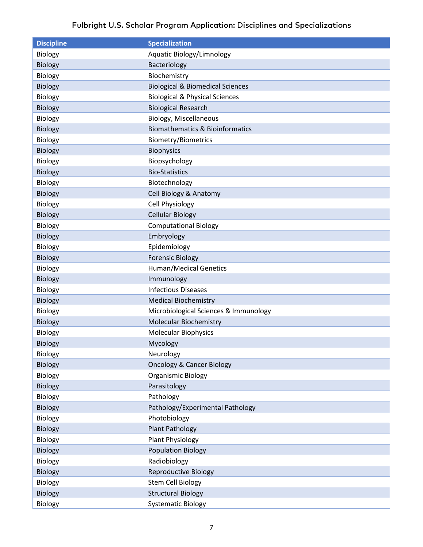| <b>Discipline</b> | <b>Specialization</b>                       |
|-------------------|---------------------------------------------|
| Biology           | Aquatic Biology/Limnology                   |
| Biology           | Bacteriology                                |
| Biology           | Biochemistry                                |
| <b>Biology</b>    | <b>Biological &amp; Biomedical Sciences</b> |
| Biology           | <b>Biological &amp; Physical Sciences</b>   |
| <b>Biology</b>    | <b>Biological Research</b>                  |
| <b>Biology</b>    | <b>Biology, Miscellaneous</b>               |
| <b>Biology</b>    | <b>Biomathematics &amp; Bioinformatics</b>  |
| Biology           | <b>Biometry/Biometrics</b>                  |
| <b>Biology</b>    | <b>Biophysics</b>                           |
| Biology           | Biopsychology                               |
| <b>Biology</b>    | <b>Bio-Statistics</b>                       |
| Biology           | Biotechnology                               |
| <b>Biology</b>    | Cell Biology & Anatomy                      |
| <b>Biology</b>    | <b>Cell Physiology</b>                      |
| <b>Biology</b>    | <b>Cellular Biology</b>                     |
| Biology           | <b>Computational Biology</b>                |
| <b>Biology</b>    | Embryology                                  |
| Biology           | Epidemiology                                |
| <b>Biology</b>    | <b>Forensic Biology</b>                     |
| <b>Biology</b>    | <b>Human/Medical Genetics</b>               |
| <b>Biology</b>    | Immunology                                  |
| Biology           | <b>Infectious Diseases</b>                  |
| <b>Biology</b>    | <b>Medical Biochemistry</b>                 |
| <b>Biology</b>    | Microbiological Sciences & Immunology       |
| <b>Biology</b>    | <b>Molecular Biochemistry</b>               |
| Biology           | <b>Molecular Biophysics</b>                 |
| <b>Biology</b>    | Mycology                                    |
| Biology           | Neurology                                   |
| Biology           | <b>Oncology &amp; Cancer Biology</b>        |
| Biology           | Organismic Biology                          |
| <b>Biology</b>    | Parasitology                                |
| <b>Biology</b>    | Pathology                                   |
| <b>Biology</b>    | Pathology/Experimental Pathology            |
| Biology           | Photobiology                                |
| <b>Biology</b>    | <b>Plant Pathology</b>                      |
| Biology           | <b>Plant Physiology</b>                     |
| <b>Biology</b>    | <b>Population Biology</b>                   |
| <b>Biology</b>    | Radiobiology                                |
| <b>Biology</b>    | <b>Reproductive Biology</b>                 |
| Biology           | <b>Stem Cell Biology</b>                    |
| <b>Biology</b>    | <b>Structural Biology</b>                   |
| Biology           | <b>Systematic Biology</b>                   |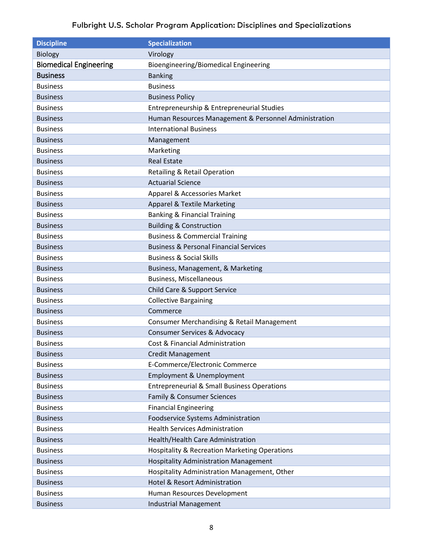<span id="page-7-1"></span><span id="page-7-0"></span>

| <b>Discipline</b>             | <b>Specialization</b>                                  |
|-------------------------------|--------------------------------------------------------|
| <b>Biology</b>                | Virology                                               |
| <b>Biomedical Engineering</b> | Bioengineering/Biomedical Engineering                  |
| <b>Business</b>               | <b>Banking</b>                                         |
| <b>Business</b>               | <b>Business</b>                                        |
| <b>Business</b>               | <b>Business Policy</b>                                 |
| <b>Business</b>               | Entrepreneurship & Entrepreneurial Studies             |
| <b>Business</b>               | Human Resources Management & Personnel Administration  |
| <b>Business</b>               | <b>International Business</b>                          |
| <b>Business</b>               | Management                                             |
| <b>Business</b>               | Marketing                                              |
| <b>Business</b>               | <b>Real Estate</b>                                     |
| <b>Business</b>               | <b>Retailing &amp; Retail Operation</b>                |
| <b>Business</b>               | <b>Actuarial Science</b>                               |
| <b>Business</b>               | Apparel & Accessories Market                           |
| <b>Business</b>               | <b>Apparel &amp; Textile Marketing</b>                 |
| <b>Business</b>               | <b>Banking &amp; Financial Training</b>                |
| <b>Business</b>               | <b>Building &amp; Construction</b>                     |
| <b>Business</b>               | <b>Business &amp; Commercial Training</b>              |
| <b>Business</b>               | <b>Business &amp; Personal Financial Services</b>      |
| <b>Business</b>               | <b>Business &amp; Social Skills</b>                    |
| <b>Business</b>               | Business, Management, & Marketing                      |
| <b>Business</b>               | <b>Business, Miscellaneous</b>                         |
| <b>Business</b>               | Child Care & Support Service                           |
| <b>Business</b>               | <b>Collective Bargaining</b>                           |
| <b>Business</b>               | Commerce                                               |
| <b>Business</b>               | Consumer Merchandising & Retail Management             |
| <b>Business</b>               | <b>Consumer Services &amp; Advocacy</b>                |
| <b>Business</b>               | Cost & Financial Administration                        |
| <b>Business</b>               | <b>Credit Management</b>                               |
| <b>Business</b>               | E-Commerce/Electronic Commerce                         |
| <b>Business</b>               | Employment & Unemployment                              |
| <b>Business</b>               | <b>Entrepreneurial &amp; Small Business Operations</b> |
| <b>Business</b>               | Family & Consumer Sciences                             |
| <b>Business</b>               | <b>Financial Engineering</b>                           |
| <b>Business</b>               | Foodservice Systems Administration                     |
| <b>Business</b>               | <b>Health Services Administration</b>                  |
| <b>Business</b>               | Health/Health Care Administration                      |
| <b>Business</b>               | Hospitality & Recreation Marketing Operations          |
| <b>Business</b>               | <b>Hospitality Administration Management</b>           |
| <b>Business</b>               | Hospitality Administration Management, Other           |
| <b>Business</b>               | Hotel & Resort Administration                          |
| <b>Business</b>               | Human Resources Development                            |
| <b>Business</b>               | <b>Industrial Management</b>                           |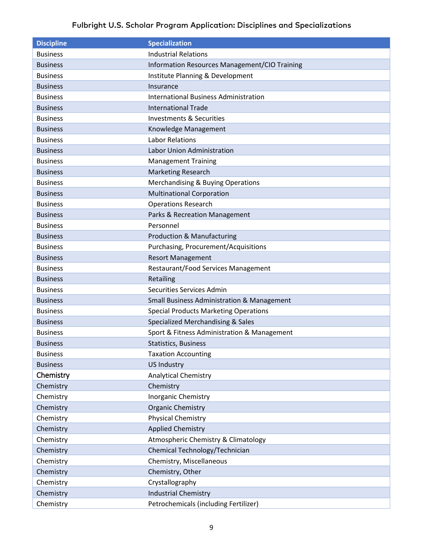<span id="page-8-0"></span>

| <b>Discipline</b> | <b>Specialization</b>                                 |
|-------------------|-------------------------------------------------------|
| <b>Business</b>   | <b>Industrial Relations</b>                           |
| <b>Business</b>   | Information Resources Management/CIO Training         |
| <b>Business</b>   | Institute Planning & Development                      |
| <b>Business</b>   | Insurance                                             |
| <b>Business</b>   | <b>International Business Administration</b>          |
| <b>Business</b>   | <b>International Trade</b>                            |
| <b>Business</b>   | <b>Investments &amp; Securities</b>                   |
| <b>Business</b>   | Knowledge Management                                  |
| <b>Business</b>   | <b>Labor Relations</b>                                |
| <b>Business</b>   | Labor Union Administration                            |
| <b>Business</b>   | <b>Management Training</b>                            |
| <b>Business</b>   | <b>Marketing Research</b>                             |
| <b>Business</b>   | <b>Merchandising &amp; Buying Operations</b>          |
| <b>Business</b>   | <b>Multinational Corporation</b>                      |
| <b>Business</b>   | <b>Operations Research</b>                            |
| <b>Business</b>   | Parks & Recreation Management                         |
| <b>Business</b>   | Personnel                                             |
| <b>Business</b>   | <b>Production &amp; Manufacturing</b>                 |
| <b>Business</b>   | Purchasing, Procurement/Acquisitions                  |
| <b>Business</b>   | <b>Resort Management</b>                              |
| <b>Business</b>   | Restaurant/Food Services Management                   |
| <b>Business</b>   | Retailing                                             |
| <b>Business</b>   | Securities Services Admin                             |
| <b>Business</b>   | <b>Small Business Administration &amp; Management</b> |
| <b>Business</b>   | <b>Special Products Marketing Operations</b>          |
| <b>Business</b>   | Specialized Merchandising & Sales                     |
| <b>Business</b>   | Sport & Fitness Administration & Management           |
| <b>Business</b>   | <b>Statistics, Business</b>                           |
| <b>Business</b>   | <b>Taxation Accounting</b>                            |
| <b>Business</b>   | <b>US Industry</b>                                    |
| Chemistry         | <b>Analytical Chemistry</b>                           |
| Chemistry         | Chemistry                                             |
| Chemistry         | <b>Inorganic Chemistry</b>                            |
| Chemistry         | <b>Organic Chemistry</b>                              |
| Chemistry         | <b>Physical Chemistry</b>                             |
| Chemistry         | <b>Applied Chemistry</b>                              |
| Chemistry         | Atmospheric Chemistry & Climatology                   |
| Chemistry         | Chemical Technology/Technician                        |
| Chemistry         | Chemistry, Miscellaneous                              |
| Chemistry         | Chemistry, Other                                      |
| Chemistry         | Crystallography                                       |
| Chemistry         | <b>Industrial Chemistry</b>                           |
| Chemistry         | Petrochemicals (including Fertilizer)                 |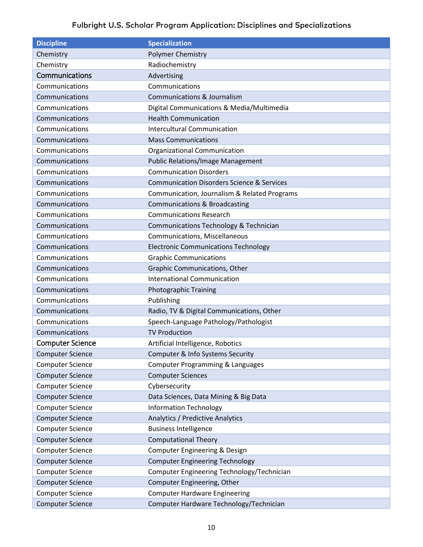<span id="page-9-1"></span><span id="page-9-0"></span>

| <b>Discipline</b>       | <b>Specialization</b>                                 |
|-------------------------|-------------------------------------------------------|
| Chemistry               | Polymer Chemistry                                     |
| Chemistry               | Radiochemistry                                        |
| Communications          | Advertising                                           |
| Communications          | Communications                                        |
| Communications          | <b>Communications &amp; Journalism</b>                |
| Communications          | Digital Communications & Media/Multimedia             |
| Communications          | <b>Health Communication</b>                           |
| Communications          | <b>Intercultural Communication</b>                    |
| Communications          | <b>Mass Communications</b>                            |
| Communications          | Organizational Communication                          |
| Communications          | <b>Public Relations/Image Management</b>              |
| Communications          | <b>Communication Disorders</b>                        |
| Communications          | <b>Communication Disorders Science &amp; Services</b> |
| Communications          | Communication, Journalism & Related Programs          |
| Communications          | <b>Communications &amp; Broadcasting</b>              |
| Communications          | <b>Communications Research</b>                        |
| Communications          | Communications Technology & Technician                |
| Communications          | Communications, Miscellaneous                         |
| Communications          | <b>Electronic Communications Technology</b>           |
| Communications          | <b>Graphic Communications</b>                         |
| Communications          | Graphic Communications, Other                         |
| Communications          | <b>International Communication</b>                    |
| Communications          | <b>Photographic Training</b>                          |
| Communications          | Publishing                                            |
| Communications          | Radio, TV & Digital Communications, Other             |
| Communications          | Speech-Language Pathology/Pathologist                 |
| Communications          | <b>TV Production</b>                                  |
| <b>Computer Science</b> | Artificial Intelligence, Robotics                     |
| <b>Computer Science</b> | Computer & Info Systems Security                      |
| <b>Computer Science</b> | Computer Programming & Languages                      |
| <b>Computer Science</b> | <b>Computer Sciences</b>                              |
| <b>Computer Science</b> | Cybersecurity                                         |
| <b>Computer Science</b> | Data Sciences, Data Mining & Big Data                 |
| <b>Computer Science</b> | <b>Information Technology</b>                         |
| <b>Computer Science</b> | Analytics / Predictive Analytics                      |
| <b>Computer Science</b> | <b>Business Intelligence</b>                          |
| <b>Computer Science</b> | <b>Computational Theory</b>                           |
| <b>Computer Science</b> | Computer Engineering & Design                         |
| <b>Computer Science</b> | <b>Computer Engineering Technology</b>                |
| <b>Computer Science</b> | Computer Engineering Technology/Technician            |
| <b>Computer Science</b> | Computer Engineering, Other                           |
| <b>Computer Science</b> | <b>Computer Hardware Engineering</b>                  |
| <b>Computer Science</b> | Computer Hardware Technology/Technician               |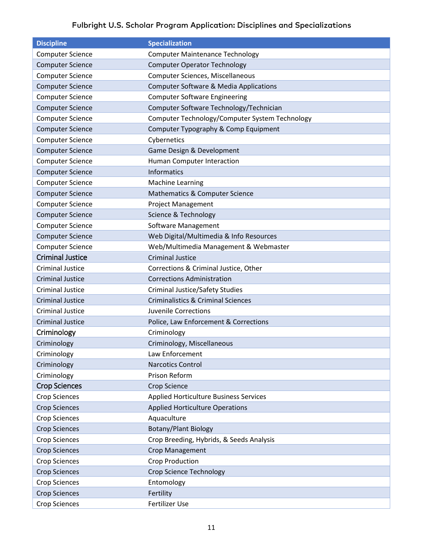<span id="page-10-2"></span><span id="page-10-1"></span><span id="page-10-0"></span>

| <b>Discipline</b>       | <b>Specialization</b>                             |
|-------------------------|---------------------------------------------------|
| <b>Computer Science</b> | <b>Computer Maintenance Technology</b>            |
| <b>Computer Science</b> | <b>Computer Operator Technology</b>               |
| <b>Computer Science</b> | Computer Sciences, Miscellaneous                  |
| <b>Computer Science</b> | <b>Computer Software &amp; Media Applications</b> |
| <b>Computer Science</b> | <b>Computer Software Engineering</b>              |
| <b>Computer Science</b> | Computer Software Technology/Technician           |
| <b>Computer Science</b> | Computer Technology/Computer System Technology    |
| <b>Computer Science</b> | Computer Typography & Comp Equipment              |
| <b>Computer Science</b> | Cybernetics                                       |
| <b>Computer Science</b> | Game Design & Development                         |
| <b>Computer Science</b> | Human Computer Interaction                        |
| <b>Computer Science</b> | <b>Informatics</b>                                |
| <b>Computer Science</b> | <b>Machine Learning</b>                           |
| <b>Computer Science</b> | Mathematics & Computer Science                    |
| <b>Computer Science</b> | <b>Project Management</b>                         |
| <b>Computer Science</b> | Science & Technology                              |
| <b>Computer Science</b> | Software Management                               |
| <b>Computer Science</b> | Web Digital/Multimedia & Info Resources           |
| <b>Computer Science</b> | Web/Multimedia Management & Webmaster             |
| <b>Criminal Justice</b> | <b>Criminal Justice</b>                           |
| <b>Criminal Justice</b> | Corrections & Criminal Justice, Other             |
| <b>Criminal Justice</b> | <b>Corrections Administration</b>                 |
| <b>Criminal Justice</b> | <b>Criminal Justice/Safety Studies</b>            |
| <b>Criminal Justice</b> | <b>Criminalistics &amp; Criminal Sciences</b>     |
| <b>Criminal Justice</b> | Juvenile Corrections                              |
| <b>Criminal Justice</b> | Police, Law Enforcement & Corrections             |
| Criminology             | Criminology                                       |
| Criminology             | Criminology, Miscellaneous                        |
| Criminology             | Law Enforcement                                   |
| Criminology             | <b>Narcotics Control</b>                          |
| Criminology             | Prison Reform                                     |
| <b>Crop Sciences</b>    | <b>Crop Science</b>                               |
| <b>Crop Sciences</b>    | <b>Applied Horticulture Business Services</b>     |
| <b>Crop Sciences</b>    | <b>Applied Horticulture Operations</b>            |
| <b>Crop Sciences</b>    | Aquaculture                                       |
| <b>Crop Sciences</b>    | <b>Botany/Plant Biology</b>                       |
| <b>Crop Sciences</b>    | Crop Breeding, Hybrids, & Seeds Analysis          |
| <b>Crop Sciences</b>    | Crop Management                                   |
| <b>Crop Sciences</b>    | <b>Crop Production</b>                            |
| <b>Crop Sciences</b>    | <b>Crop Science Technology</b>                    |
| <b>Crop Sciences</b>    | Entomology                                        |
| <b>Crop Sciences</b>    | Fertility                                         |
| <b>Crop Sciences</b>    | Fertilizer Use                                    |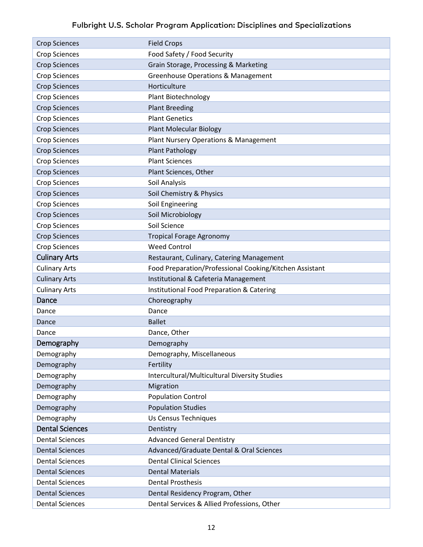<span id="page-11-3"></span><span id="page-11-2"></span><span id="page-11-1"></span><span id="page-11-0"></span>

| <b>Crop Sciences</b>   | <b>Field Crops</b>                                      |
|------------------------|---------------------------------------------------------|
| <b>Crop Sciences</b>   | Food Safety / Food Security                             |
| <b>Crop Sciences</b>   | Grain Storage, Processing & Marketing                   |
| <b>Crop Sciences</b>   | <b>Greenhouse Operations &amp; Management</b>           |
| <b>Crop Sciences</b>   | Horticulture                                            |
| <b>Crop Sciences</b>   | Plant Biotechnology                                     |
| <b>Crop Sciences</b>   | <b>Plant Breeding</b>                                   |
| <b>Crop Sciences</b>   | <b>Plant Genetics</b>                                   |
| <b>Crop Sciences</b>   | <b>Plant Molecular Biology</b>                          |
| <b>Crop Sciences</b>   | Plant Nursery Operations & Management                   |
| <b>Crop Sciences</b>   | <b>Plant Pathology</b>                                  |
| <b>Crop Sciences</b>   | <b>Plant Sciences</b>                                   |
| <b>Crop Sciences</b>   | Plant Sciences, Other                                   |
| <b>Crop Sciences</b>   | Soil Analysis                                           |
| <b>Crop Sciences</b>   | Soil Chemistry & Physics                                |
| <b>Crop Sciences</b>   | Soil Engineering                                        |
| <b>Crop Sciences</b>   | Soil Microbiology                                       |
| <b>Crop Sciences</b>   | Soil Science                                            |
| <b>Crop Sciences</b>   | <b>Tropical Forage Agronomy</b>                         |
| <b>Crop Sciences</b>   | <b>Weed Control</b>                                     |
| <b>Culinary Arts</b>   | Restaurant, Culinary, Catering Management               |
| <b>Culinary Arts</b>   | Food Preparation/Professional Cooking/Kitchen Assistant |
| <b>Culinary Arts</b>   | Institutional & Cafeteria Management                    |
| <b>Culinary Arts</b>   | <b>Institutional Food Preparation &amp; Catering</b>    |
| Dance                  | Choreography                                            |
| Dance                  | Dance                                                   |
| Dance                  | <b>Ballet</b>                                           |
| Dance                  | Dance, Other                                            |
| Demography             | Demography                                              |
| Demography             | Demography, Miscellaneous                               |
| Demography             | Fertility                                               |
| Demography             | Intercultural/Multicultural Diversity Studies           |
| Demography             | Migration                                               |
| Demography             | <b>Population Control</b>                               |
| Demography             | <b>Population Studies</b>                               |
| Demography             | Us Census Techniques                                    |
| <b>Dental Sciences</b> | Dentistry                                               |
| <b>Dental Sciences</b> | <b>Advanced General Dentistry</b>                       |
| <b>Dental Sciences</b> | Advanced/Graduate Dental & Oral Sciences                |
| <b>Dental Sciences</b> | <b>Dental Clinical Sciences</b>                         |
| <b>Dental Sciences</b> | <b>Dental Materials</b>                                 |
| <b>Dental Sciences</b> | <b>Dental Prosthesis</b>                                |
| <b>Dental Sciences</b> | Dental Residency Program, Other                         |
| <b>Dental Sciences</b> | Dental Services & Allied Professions, Other             |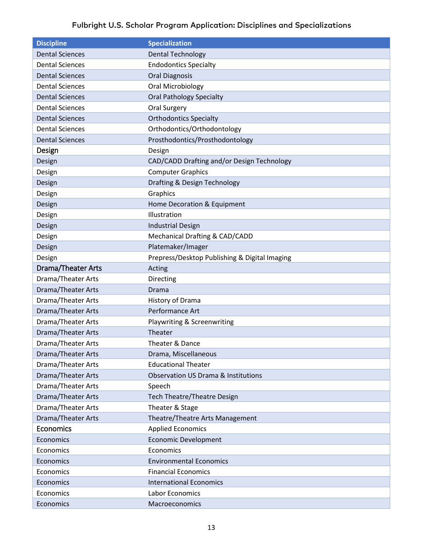<span id="page-12-2"></span><span id="page-12-1"></span><span id="page-12-0"></span>

| <b>Discipline</b>         | <b>Specialization</b>                          |
|---------------------------|------------------------------------------------|
| <b>Dental Sciences</b>    | <b>Dental Technology</b>                       |
| <b>Dental Sciences</b>    | <b>Endodontics Specialty</b>                   |
| <b>Dental Sciences</b>    | <b>Oral Diagnosis</b>                          |
| <b>Dental Sciences</b>    | Oral Microbiology                              |
| <b>Dental Sciences</b>    | <b>Oral Pathology Specialty</b>                |
| <b>Dental Sciences</b>    | Oral Surgery                                   |
| <b>Dental Sciences</b>    | <b>Orthodontics Specialty</b>                  |
| <b>Dental Sciences</b>    | Orthodontics/Orthodontology                    |
| <b>Dental Sciences</b>    | Prosthodontics/Prosthodontology                |
| Design                    | Design                                         |
| Design                    | CAD/CADD Drafting and/or Design Technology     |
| Design                    | <b>Computer Graphics</b>                       |
| Design                    | Drafting & Design Technology                   |
| Design                    | Graphics                                       |
| Design                    | Home Decoration & Equipment                    |
| Design                    | Illustration                                   |
| Design                    | <b>Industrial Design</b>                       |
| Design                    | Mechanical Drafting & CAD/CADD                 |
| Design                    | Platemaker/Imager                              |
| Design                    | Prepress/Desktop Publishing & Digital Imaging  |
| Drama/Theater Arts        | Acting                                         |
| Drama/Theater Arts        | Directing                                      |
| <b>Drama/Theater Arts</b> | Drama                                          |
| Drama/Theater Arts        | History of Drama                               |
| <b>Drama/Theater Arts</b> | Performance Art                                |
| Drama/Theater Arts        | Playwriting & Screenwriting                    |
| Drama/Theater Arts        | Theater                                        |
| Drama/Theater Arts        | Theater & Dance                                |
| Drama/Theater Arts        | Drama, Miscellaneous                           |
| Drama/Theater Arts        | <b>Educational Theater</b>                     |
| <b>Drama/Theater Arts</b> | <b>Observation US Drama &amp; Institutions</b> |
| <b>Drama/Theater Arts</b> | Speech                                         |
| Drama/Theater Arts        | <b>Tech Theatre/Theatre Design</b>             |
| Drama/Theater Arts        | Theater & Stage                                |
| Drama/Theater Arts        | Theatre/Theatre Arts Management                |
| Economics                 | <b>Applied Economics</b>                       |
| Economics                 | <b>Economic Development</b>                    |
| Economics                 | Economics                                      |
| Economics                 | <b>Environmental Economics</b>                 |
| Economics                 | <b>Financial Economics</b>                     |
| Economics                 | <b>International Economics</b>                 |
| Economics                 | Labor Economics                                |
| Economics                 | Macroeconomics                                 |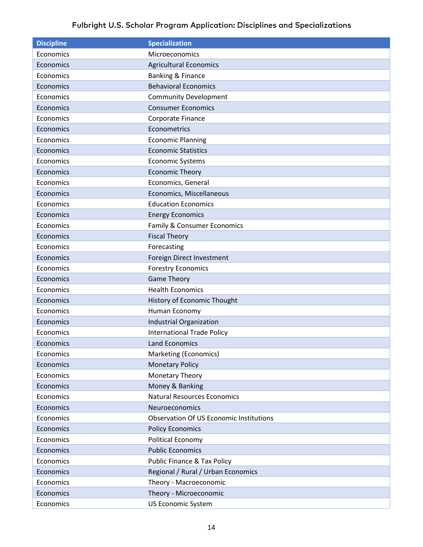| <b>Discipline</b> | <b>Specialization</b>                          |
|-------------------|------------------------------------------------|
| Economics         | Microeconomics                                 |
| Economics         | <b>Agricultural Economics</b>                  |
| Economics         | Banking & Finance                              |
| Economics         | <b>Behavioral Economics</b>                    |
| Economics         | <b>Community Development</b>                   |
| Economics         | <b>Consumer Economics</b>                      |
| Economics         | Corporate Finance                              |
| Economics         | Econometrics                                   |
| Economics         | <b>Economic Planning</b>                       |
| Economics         | <b>Economic Statistics</b>                     |
| Economics         | <b>Economic Systems</b>                        |
| Economics         | <b>Economic Theory</b>                         |
| Economics         | Economics, General                             |
| Economics         | Economics, Miscellaneous                       |
| Economics         | <b>Education Economics</b>                     |
| Economics         | <b>Energy Economics</b>                        |
| Economics         | Family & Consumer Economics                    |
| Economics         | <b>Fiscal Theory</b>                           |
| Economics         | Forecasting                                    |
| Economics         | Foreign Direct Investment                      |
| Economics         | <b>Forestry Economics</b>                      |
| Economics         | <b>Game Theory</b>                             |
| Economics         | <b>Health Economics</b>                        |
| Economics         | History of Economic Thought                    |
| Economics         | Human Economy                                  |
| Economics         | Industrial Organization                        |
| Economics         | <b>International Trade Policy</b>              |
| Economics         | <b>Land Economics</b>                          |
| Economics         | Marketing (Economics)                          |
| Economics         | <b>Monetary Policy</b>                         |
| Economics         | Monetary Theory                                |
| Economics         | Money & Banking                                |
| Economics         | <b>Natural Resources Economics</b>             |
| Economics         | Neuroeconomics                                 |
| Economics         | <b>Observation Of US Economic Institutions</b> |
| Economics         | <b>Policy Economics</b>                        |
| Economics         | Political Economy                              |
| Economics         | <b>Public Economics</b>                        |
| Economics         | <b>Public Finance &amp; Tax Policy</b>         |
| Economics         | Regional / Rural / Urban Economics             |
| Economics         | Theory - Macroeconomic                         |
| Economics         | Theory - Microeconomic                         |
| Economics         | <b>US Economic System</b>                      |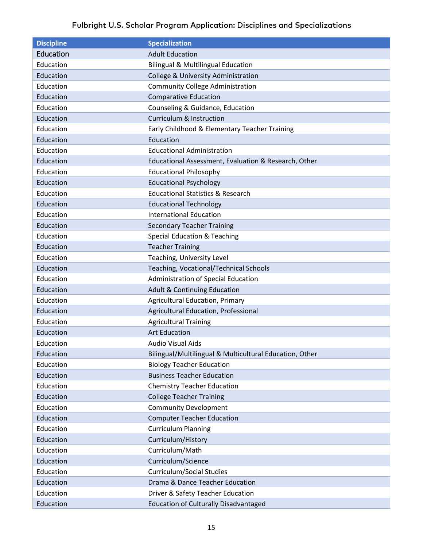<span id="page-14-0"></span>

| <b>Discipline</b> | <b>Specialization</b>                                   |
|-------------------|---------------------------------------------------------|
| Education         | <b>Adult Education</b>                                  |
| Education         | <b>Bilingual &amp; Multilingual Education</b>           |
| Education         | College & University Administration                     |
| Education         | <b>Community College Administration</b>                 |
| Education         | <b>Comparative Education</b>                            |
| Education         | Counseling & Guidance, Education                        |
| Education         | <b>Curriculum &amp; Instruction</b>                     |
| Education         | Early Childhood & Elementary Teacher Training           |
| Education         | Education                                               |
| Education         | <b>Educational Administration</b>                       |
| Education         | Educational Assessment, Evaluation & Research, Other    |
| Education         | <b>Educational Philosophy</b>                           |
| Education         | <b>Educational Psychology</b>                           |
| Education         | <b>Educational Statistics &amp; Research</b>            |
| Education         | <b>Educational Technology</b>                           |
| Education         | <b>International Education</b>                          |
| Education         | <b>Secondary Teacher Training</b>                       |
| Education         | <b>Special Education &amp; Teaching</b>                 |
| Education         | <b>Teacher Training</b>                                 |
| Education         | Teaching, University Level                              |
| Education         | <b>Teaching, Vocational/Technical Schools</b>           |
| Education         | Administration of Special Education                     |
| Education         | <b>Adult &amp; Continuing Education</b>                 |
| Education         | <b>Agricultural Education, Primary</b>                  |
| Education         | Agricultural Education, Professional                    |
| Education         | <b>Agricultural Training</b>                            |
| Education         | <b>Art Education</b>                                    |
| Education         | <b>Audio Visual Aids</b>                                |
| Education         | Bilingual/Multilingual & Multicultural Education, Other |
| Education         | <b>Biology Teacher Education</b>                        |
| Education         | <b>Business Teacher Education</b>                       |
| Education         | <b>Chemistry Teacher Education</b>                      |
| Education         | <b>College Teacher Training</b>                         |
| Education         | <b>Community Development</b>                            |
| Education         | <b>Computer Teacher Education</b>                       |
| Education         | <b>Curriculum Planning</b>                              |
| Education         | Curriculum/History                                      |
| Education         | Curriculum/Math                                         |
| Education         | Curriculum/Science                                      |
| Education         | <b>Curriculum/Social Studies</b>                        |
| Education         | Drama & Dance Teacher Education                         |
| Education         | Driver & Safety Teacher Education                       |
| Education         | <b>Education of Culturally Disadvantaged</b>            |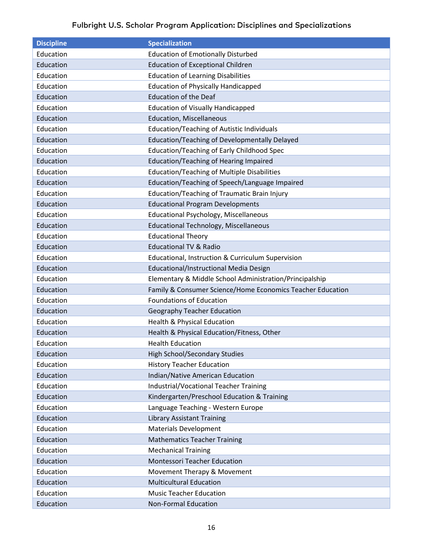| <b>Discipline</b> | <b>Specialization</b>                                        |
|-------------------|--------------------------------------------------------------|
| Education         | <b>Education of Emotionally Disturbed</b>                    |
| Education         | <b>Education of Exceptional Children</b>                     |
| Education         | <b>Education of Learning Disabilities</b>                    |
| Education         | <b>Education of Physically Handicapped</b>                   |
| Education         | <b>Education of the Deaf</b>                                 |
| Education         | <b>Education of Visually Handicapped</b>                     |
| Education         | <b>Education, Miscellaneous</b>                              |
| Education         | <b>Education/Teaching of Autistic Individuals</b>            |
| Education         | Education/Teaching of Developmentally Delayed                |
| Education         | <b>Education/Teaching of Early Childhood Spec</b>            |
| Education         | <b>Education/Teaching of Hearing Impaired</b>                |
| Education         | <b>Education/Teaching of Multiple Disabilities</b>           |
| Education         | Education/Teaching of Speech/Language Impaired               |
| Education         | <b>Education/Teaching of Traumatic Brain Injury</b>          |
| Education         | <b>Educational Program Developments</b>                      |
| Education         | <b>Educational Psychology, Miscellaneous</b>                 |
| Education         | <b>Educational Technology, Miscellaneous</b>                 |
| Education         | <b>Educational Theory</b>                                    |
| Education         | <b>Educational TV &amp; Radio</b>                            |
| Education         | <b>Educational, Instruction &amp; Curriculum Supervision</b> |
| Education         | Educational/Instructional Media Design                       |
| Education         | Elementary & Middle School Administration/Principalship      |
| Education         | Family & Consumer Science/Home Economics Teacher Education   |
| Education         | <b>Foundations of Education</b>                              |
| Education         | <b>Geography Teacher Education</b>                           |
| Education         | <b>Health &amp; Physical Education</b>                       |
| Education         | Health & Physical Education/Fitness, Other                   |
| Education         | <b>Health Education</b>                                      |
| Education         | <b>High School/Secondary Studies</b>                         |
| Education         | <b>History Teacher Education</b>                             |
| Education         | Indian/Native American Education                             |
| Education         | <b>Industrial/Vocational Teacher Training</b>                |
| Education         | Kindergarten/Preschool Education & Training                  |
| Education         | Language Teaching - Western Europe                           |
| Education         | <b>Library Assistant Training</b>                            |
| Education         | <b>Materials Development</b>                                 |
| Education         | <b>Mathematics Teacher Training</b>                          |
| Education         | <b>Mechanical Training</b>                                   |
| Education         | Montessori Teacher Education                                 |
| Education         | Movement Therapy & Movement                                  |
| Education         | <b>Multicultural Education</b>                               |
| Education         | <b>Music Teacher Education</b>                               |
| Education         | <b>Non-Formal Education</b>                                  |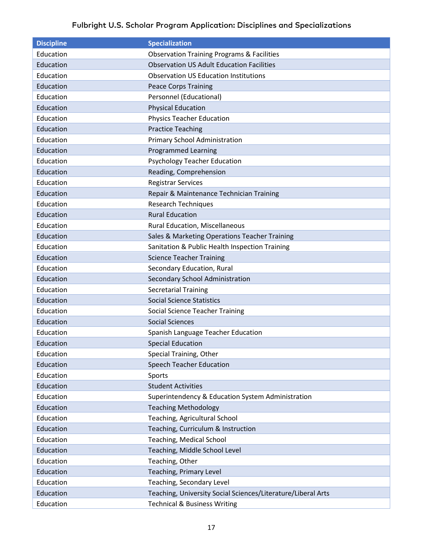| <b>Discipline</b> | <b>Specialization</b>                                        |
|-------------------|--------------------------------------------------------------|
| Education         | <b>Observation Training Programs &amp; Facilities</b>        |
| Education         | <b>Observation US Adult Education Facilities</b>             |
| Education         | <b>Observation US Education Institutions</b>                 |
| Education         | <b>Peace Corps Training</b>                                  |
| Education         | Personnel (Educational)                                      |
| Education         | <b>Physical Education</b>                                    |
| Education         | <b>Physics Teacher Education</b>                             |
| Education         | <b>Practice Teaching</b>                                     |
| Education         | Primary School Administration                                |
| Education         | <b>Programmed Learning</b>                                   |
| Education         | <b>Psychology Teacher Education</b>                          |
| Education         | Reading, Comprehension                                       |
| Education         | <b>Registrar Services</b>                                    |
| Education         | Repair & Maintenance Technician Training                     |
| Education         | <b>Research Techniques</b>                                   |
| Education         | <b>Rural Education</b>                                       |
| Education         | Rural Education, Miscellaneous                               |
| Education         | Sales & Marketing Operations Teacher Training                |
| Education         | Sanitation & Public Health Inspection Training               |
| Education         | <b>Science Teacher Training</b>                              |
| Education         | Secondary Education, Rural                                   |
| Education         | Secondary School Administration                              |
| Education         | <b>Secretarial Training</b>                                  |
| Education         | <b>Social Science Statistics</b>                             |
| Education         | <b>Social Science Teacher Training</b>                       |
| Education         | <b>Social Sciences</b>                                       |
| Education         | Spanish Language Teacher Education                           |
| Education         | <b>Special Education</b>                                     |
| Education         | Special Training, Other                                      |
| Education         | Speech Teacher Education                                     |
| Education         | Sports                                                       |
| Education         | <b>Student Activities</b>                                    |
| Education         | Superintendency & Education System Administration            |
| Education         | <b>Teaching Methodology</b>                                  |
| Education         | Teaching, Agricultural School                                |
| Education         | Teaching, Curriculum & Instruction                           |
| Education         | Teaching, Medical School                                     |
| Education         | Teaching, Middle School Level                                |
| Education         | Teaching, Other                                              |
| Education         | Teaching, Primary Level                                      |
| Education         | Teaching, Secondary Level                                    |
| Education         | Teaching, University Social Sciences/Literature/Liberal Arts |
| Education         | <b>Technical &amp; Business Writing</b>                      |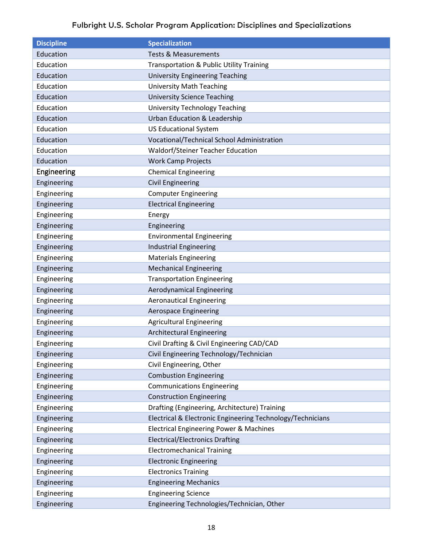<span id="page-17-0"></span>

| <b>Discipline</b> | <b>Specialization</b>                                      |
|-------------------|------------------------------------------------------------|
| Education         | <b>Tests &amp; Measurements</b>                            |
| Education         | Transportation & Public Utility Training                   |
| Education         | <b>University Engineering Teaching</b>                     |
| Education         | <b>University Math Teaching</b>                            |
| Education         | <b>University Science Teaching</b>                         |
| Education         | <b>University Technology Teaching</b>                      |
| Education         | <b>Urban Education &amp; Leadership</b>                    |
| Education         | <b>US Educational System</b>                               |
| Education         | Vocational/Technical School Administration                 |
| Education         | Waldorf/Steiner Teacher Education                          |
| Education         | <b>Work Camp Projects</b>                                  |
| Engineering       | <b>Chemical Engineering</b>                                |
| Engineering       | <b>Civil Engineering</b>                                   |
| Engineering       | <b>Computer Engineering</b>                                |
| Engineering       | <b>Electrical Engineering</b>                              |
| Engineering       | Energy                                                     |
| Engineering       | Engineering                                                |
| Engineering       | <b>Environmental Engineering</b>                           |
| Engineering       | <b>Industrial Engineering</b>                              |
| Engineering       | <b>Materials Engineering</b>                               |
| Engineering       | <b>Mechanical Engineering</b>                              |
| Engineering       | <b>Transportation Engineering</b>                          |
| Engineering       | Aerodynamical Engineering                                  |
| Engineering       | <b>Aeronautical Engineering</b>                            |
| Engineering       | Aerospace Engineering                                      |
| Engineering       | <b>Agricultural Engineering</b>                            |
| Engineering       | <b>Architectural Engineering</b>                           |
| Engineering       | Civil Drafting & Civil Engineering CAD/CAD                 |
| Engineering       | Civil Engineering Technology/Technician                    |
| Engineering       | Civil Engineering, Other                                   |
| Engineering       | <b>Combustion Engineering</b>                              |
| Engineering       | <b>Communications Engineering</b>                          |
| Engineering       | <b>Construction Engineering</b>                            |
| Engineering       | Drafting (Engineering, Architecture) Training              |
| Engineering       | Electrical & Electronic Engineering Technology/Technicians |
| Engineering       | <b>Electrical Engineering Power &amp; Machines</b>         |
| Engineering       | <b>Electrical/Electronics Drafting</b>                     |
| Engineering       | <b>Electromechanical Training</b>                          |
| Engineering       | <b>Electronic Engineering</b>                              |
| Engineering       | <b>Electronics Training</b>                                |
| Engineering       | <b>Engineering Mechanics</b>                               |
| Engineering       | <b>Engineering Science</b>                                 |
| Engineering       | Engineering Technologies/Technician, Other                 |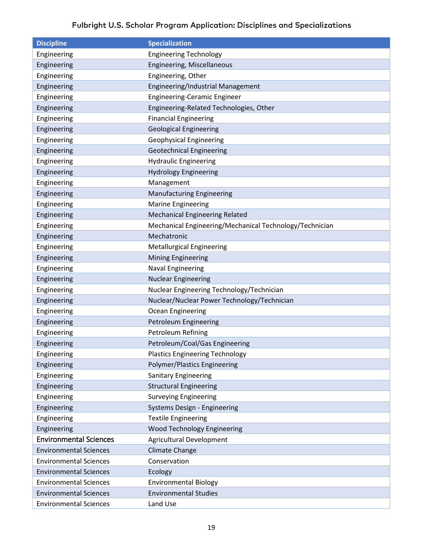<span id="page-18-0"></span>

| <b>Discipline</b>             | <b>Specialization</b>                                   |
|-------------------------------|---------------------------------------------------------|
| Engineering                   | <b>Engineering Technology</b>                           |
| Engineering                   | Engineering, Miscellaneous                              |
| Engineering                   | Engineering, Other                                      |
| Engineering                   | Engineering/Industrial Management                       |
| Engineering                   | <b>Engineering-Ceramic Engineer</b>                     |
| Engineering                   | Engineering-Related Technologies, Other                 |
| Engineering                   | <b>Financial Engineering</b>                            |
| Engineering                   | <b>Geological Engineering</b>                           |
| Engineering                   | <b>Geophysical Engineering</b>                          |
| Engineering                   | <b>Geotechnical Engineering</b>                         |
| Engineering                   | <b>Hydraulic Engineering</b>                            |
| Engineering                   | <b>Hydrology Engineering</b>                            |
| Engineering                   | Management                                              |
| Engineering                   | <b>Manufacturing Engineering</b>                        |
| Engineering                   | <b>Marine Engineering</b>                               |
| Engineering                   | <b>Mechanical Engineering Related</b>                   |
| Engineering                   | Mechanical Engineering/Mechanical Technology/Technician |
| Engineering                   | Mechatronic                                             |
| Engineering                   | <b>Metallurgical Engineering</b>                        |
| Engineering                   | <b>Mining Engineering</b>                               |
| Engineering                   | <b>Naval Engineering</b>                                |
| Engineering                   | <b>Nuclear Engineering</b>                              |
| Engineering                   | Nuclear Engineering Technology/Technician               |
| Engineering                   | Nuclear/Nuclear Power Technology/Technician             |
| Engineering                   | Ocean Engineering                                       |
| Engineering                   | Petroleum Engineering                                   |
| Engineering                   | Petroleum Refining                                      |
| Engineering                   | Petroleum/Coal/Gas Engineering                          |
| Engineering                   | <b>Plastics Engineering Technology</b>                  |
| Engineering                   | <b>Polymer/Plastics Engineering</b>                     |
| Engineering                   | <b>Sanitary Engineering</b>                             |
| Engineering                   | <b>Structural Engineering</b>                           |
| Engineering                   | <b>Surveying Engineering</b>                            |
| Engineering                   | Systems Design - Engineering                            |
| Engineering                   | <b>Textile Engineering</b>                              |
| Engineering                   | Wood Technology Engineering                             |
| <b>Environmental Sciences</b> | Agricultural Development                                |
| <b>Environmental Sciences</b> | <b>Climate Change</b>                                   |
| <b>Environmental Sciences</b> | Conservation                                            |
| <b>Environmental Sciences</b> | Ecology                                                 |
| <b>Environmental Sciences</b> | <b>Environmental Biology</b>                            |
| <b>Environmental Sciences</b> | <b>Environmental Studies</b>                            |
| <b>Environmental Sciences</b> | Land Use                                                |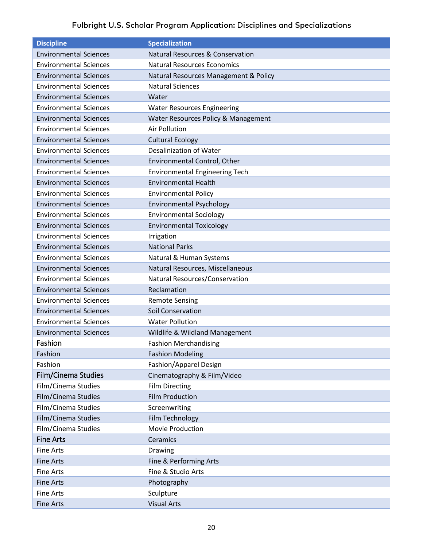<span id="page-19-2"></span><span id="page-19-1"></span><span id="page-19-0"></span>

| <b>Discipline</b>             | <b>Specialization</b>                       |
|-------------------------------|---------------------------------------------|
| <b>Environmental Sciences</b> | <b>Natural Resources &amp; Conservation</b> |
| <b>Environmental Sciences</b> | <b>Natural Resources Economics</b>          |
| <b>Environmental Sciences</b> | Natural Resources Management & Policy       |
| <b>Environmental Sciences</b> | <b>Natural Sciences</b>                     |
| <b>Environmental Sciences</b> | Water                                       |
| <b>Environmental Sciences</b> | <b>Water Resources Engineering</b>          |
| <b>Environmental Sciences</b> | Water Resources Policy & Management         |
| <b>Environmental Sciences</b> | <b>Air Pollution</b>                        |
| <b>Environmental Sciences</b> | <b>Cultural Ecology</b>                     |
| <b>Environmental Sciences</b> | <b>Desalinization of Water</b>              |
| <b>Environmental Sciences</b> | Environmental Control, Other                |
| <b>Environmental Sciences</b> | <b>Environmental Engineering Tech</b>       |
| <b>Environmental Sciences</b> | <b>Environmental Health</b>                 |
| <b>Environmental Sciences</b> | <b>Environmental Policy</b>                 |
| <b>Environmental Sciences</b> | <b>Environmental Psychology</b>             |
| <b>Environmental Sciences</b> | <b>Environmental Sociology</b>              |
| <b>Environmental Sciences</b> | <b>Environmental Toxicology</b>             |
| <b>Environmental Sciences</b> | Irrigation                                  |
| <b>Environmental Sciences</b> | <b>National Parks</b>                       |
| <b>Environmental Sciences</b> | Natural & Human Systems                     |
| <b>Environmental Sciences</b> | Natural Resources, Miscellaneous            |
| <b>Environmental Sciences</b> | Natural Resources/Conservation              |
| <b>Environmental Sciences</b> | Reclamation                                 |
| <b>Environmental Sciences</b> | <b>Remote Sensing</b>                       |
| <b>Environmental Sciences</b> | <b>Soil Conservation</b>                    |
| <b>Environmental Sciences</b> | <b>Water Pollution</b>                      |
| <b>Environmental Sciences</b> | Wildlife & Wildland Management              |
| Fashion                       | <b>Fashion Merchandising</b>                |
| Fashion                       | <b>Fashion Modeling</b>                     |
| Fashion                       | Fashion/Apparel Design                      |
| Film/Cinema Studies           | Cinematography & Film/Video                 |
| Film/Cinema Studies           | <b>Film Directing</b>                       |
| Film/Cinema Studies           | <b>Film Production</b>                      |
| Film/Cinema Studies           | Screenwriting                               |
| Film/Cinema Studies           | Film Technology                             |
| Film/Cinema Studies           | Movie Production                            |
| <b>Fine Arts</b>              | Ceramics                                    |
| <b>Fine Arts</b>              | Drawing                                     |
| <b>Fine Arts</b>              | Fine & Performing Arts                      |
| <b>Fine Arts</b>              | Fine & Studio Arts                          |
| <b>Fine Arts</b>              | Photography                                 |
| <b>Fine Arts</b>              | Sculpture                                   |
| <b>Fine Arts</b>              | <b>Visual Arts</b>                          |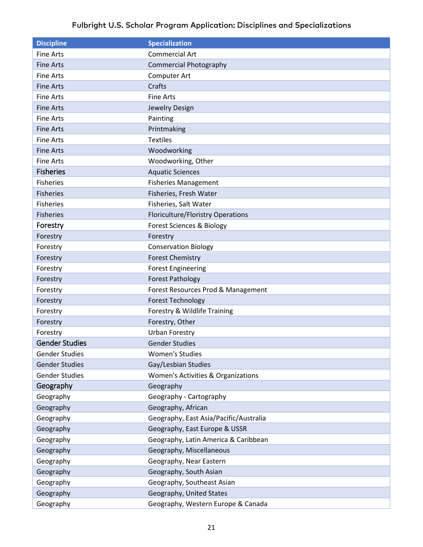<span id="page-20-3"></span><span id="page-20-2"></span><span id="page-20-1"></span><span id="page-20-0"></span>

| <b>Discipline</b>     | <b>Specialization</b>                    |
|-----------------------|------------------------------------------|
| <b>Fine Arts</b>      | <b>Commercial Art</b>                    |
| <b>Fine Arts</b>      | <b>Commercial Photography</b>            |
| <b>Fine Arts</b>      | Computer Art                             |
| <b>Fine Arts</b>      | Crafts                                   |
| <b>Fine Arts</b>      | <b>Fine Arts</b>                         |
| <b>Fine Arts</b>      | Jewelry Design                           |
| <b>Fine Arts</b>      | Painting                                 |
| <b>Fine Arts</b>      | Printmaking                              |
| <b>Fine Arts</b>      | <b>Textiles</b>                          |
| <b>Fine Arts</b>      | Woodworking                              |
| <b>Fine Arts</b>      | Woodworking, Other                       |
| <b>Fisheries</b>      | <b>Aquatic Sciences</b>                  |
| <b>Fisheries</b>      | <b>Fisheries Management</b>              |
| <b>Fisheries</b>      | Fisheries, Fresh Water                   |
| <b>Fisheries</b>      | Fisheries, Salt Water                    |
| <b>Fisheries</b>      | <b>Floriculture/Floristry Operations</b> |
| Forestry              | <b>Forest Sciences &amp; Biology</b>     |
| Forestry              | Forestry                                 |
| Forestry              | <b>Conservation Biology</b>              |
| Forestry              | <b>Forest Chemistry</b>                  |
| Forestry              | <b>Forest Engineering</b>                |
| Forestry              | <b>Forest Pathology</b>                  |
| Forestry              | Forest Resources Prod & Management       |
| Forestry              | <b>Forest Technology</b>                 |
| Forestry              | Forestry & Wildlife Training             |
| Forestry              | Forestry, Other                          |
| Forestry              | <b>Urban Forestry</b>                    |
| <b>Gender Studies</b> | <b>Gender Studies</b>                    |
| <b>Gender Studies</b> | <b>Women's Studies</b>                   |
| <b>Gender Studies</b> | Gay/Lesbian Studies                      |
| <b>Gender Studies</b> | Women's Activities & Organizations       |
| Geography             | Geography                                |
| Geography             | Geography - Cartography                  |
| Geography             | Geography, African                       |
| Geography             | Geography, East Asia/Pacific/Australia   |
| Geography             | Geography, East Europe & USSR            |
| Geography             | Geography, Latin America & Caribbean     |
| Geography             | Geography, Miscellaneous                 |
| Geography             | Geography, Near Eastern                  |
| Geography             | Geography, South Asian                   |
| Geography             | Geography, Southeast Asian               |
| Geography             | Geography, United States                 |
| Geography             | Geography, Western Europe & Canada       |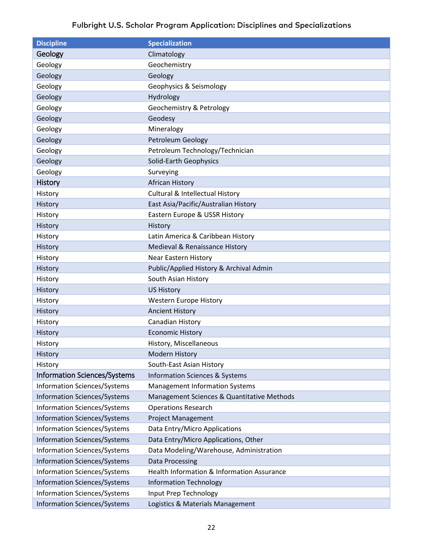<span id="page-21-2"></span><span id="page-21-1"></span><span id="page-21-0"></span>

| <b>Discipline</b>                   | <b>Specialization</b>                      |
|-------------------------------------|--------------------------------------------|
| Geology                             | Climatology                                |
| Geology                             | Geochemistry                               |
| Geology                             | Geology                                    |
| Geology                             | Geophysics & Seismology                    |
| Geology                             | Hydrology                                  |
| Geology                             | Geochemistry & Petrology                   |
| Geology                             | Geodesy                                    |
| Geology                             | Mineralogy                                 |
| Geology                             | Petroleum Geology                          |
| Geology                             | Petroleum Technology/Technician            |
| Geology                             | <b>Solid-Earth Geophysics</b>              |
| Geology                             | Surveying                                  |
| <b>History</b>                      | <b>African History</b>                     |
| History                             | <b>Cultural &amp; Intellectual History</b> |
| History                             | East Asia/Pacific/Australian History       |
| History                             | Eastern Europe & USSR History              |
| History                             | History                                    |
| History                             | Latin America & Caribbean History          |
| History                             | Medieval & Renaissance History             |
| History                             | Near Eastern History                       |
| History                             | Public/Applied History & Archival Admin    |
| History                             | South Asian History                        |
| History                             | <b>US History</b>                          |
| History                             | Western Europe History                     |
| History                             | <b>Ancient History</b>                     |
| History                             | Canadian History                           |
| History                             | <b>Economic History</b>                    |
| History                             | History, Miscellaneous                     |
| History                             | <b>Modern History</b>                      |
| History                             | South-East Asian History                   |
| <b>Information Sciences/Systems</b> | <b>Information Sciences &amp; Systems</b>  |
| <b>Information Sciences/Systems</b> | <b>Management Information Systems</b>      |
| <b>Information Sciences/Systems</b> | Management Sciences & Quantitative Methods |
| <b>Information Sciences/Systems</b> | <b>Operations Research</b>                 |
| <b>Information Sciences/Systems</b> | <b>Project Management</b>                  |
| <b>Information Sciences/Systems</b> | Data Entry/Micro Applications              |
| <b>Information Sciences/Systems</b> | Data Entry/Micro Applications, Other       |
| <b>Information Sciences/Systems</b> | Data Modeling/Warehouse, Administration    |
| <b>Information Sciences/Systems</b> | Data Processing                            |
| <b>Information Sciences/Systems</b> | Health Information & Information Assurance |
| <b>Information Sciences/Systems</b> | <b>Information Technology</b>              |
| Information Sciences/Systems        | Input Prep Technology                      |
| <b>Information Sciences/Systems</b> | Logistics & Materials Management           |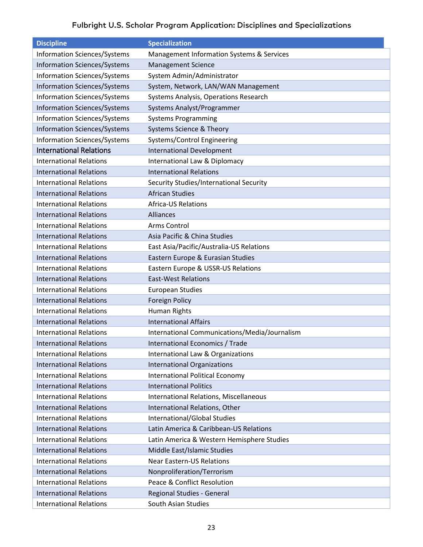<span id="page-22-0"></span>

| <b>Discipline</b>                   | <b>Specialization</b>                         |
|-------------------------------------|-----------------------------------------------|
| <b>Information Sciences/Systems</b> | Management Information Systems & Services     |
| <b>Information Sciences/Systems</b> | <b>Management Science</b>                     |
| <b>Information Sciences/Systems</b> | System Admin/Administrator                    |
| <b>Information Sciences/Systems</b> | System, Network, LAN/WAN Management           |
| <b>Information Sciences/Systems</b> | Systems Analysis, Operations Research         |
| <b>Information Sciences/Systems</b> | Systems Analyst/Programmer                    |
| <b>Information Sciences/Systems</b> | <b>Systems Programming</b>                    |
| <b>Information Sciences/Systems</b> | Systems Science & Theory                      |
| <b>Information Sciences/Systems</b> | Systems/Control Engineering                   |
| <b>International Relations</b>      | <b>International Development</b>              |
| <b>International Relations</b>      | International Law & Diplomacy                 |
| <b>International Relations</b>      | <b>International Relations</b>                |
| <b>International Relations</b>      | Security Studies/International Security       |
| <b>International Relations</b>      | <b>African Studies</b>                        |
| <b>International Relations</b>      | <b>Africa-US Relations</b>                    |
| <b>International Relations</b>      | <b>Alliances</b>                              |
| <b>International Relations</b>      | Arms Control                                  |
| <b>International Relations</b>      | Asia Pacific & China Studies                  |
| <b>International Relations</b>      | East Asia/Pacific/Australia-US Relations      |
| <b>International Relations</b>      | Eastern Europe & Eurasian Studies             |
| <b>International Relations</b>      | Eastern Europe & USSR-US Relations            |
| <b>International Relations</b>      | <b>East-West Relations</b>                    |
| <b>International Relations</b>      | <b>European Studies</b>                       |
| <b>International Relations</b>      | <b>Foreign Policy</b>                         |
| <b>International Relations</b>      | Human Rights                                  |
| <b>International Relations</b>      | <b>International Affairs</b>                  |
| <b>International Relations</b>      | International Communications/Media/Journalism |
| <b>International Relations</b>      | International Economics / Trade               |
| <b>International Relations</b>      | International Law & Organizations             |
| <b>International Relations</b>      | <b>International Organizations</b>            |
| <b>International Relations</b>      | <b>International Political Economy</b>        |
| <b>International Relations</b>      | <b>International Politics</b>                 |
| <b>International Relations</b>      | International Relations, Miscellaneous        |
| <b>International Relations</b>      | International Relations, Other                |
| <b>International Relations</b>      | International/Global Studies                  |
| <b>International Relations</b>      | Latin America & Caribbean-US Relations        |
| <b>International Relations</b>      | Latin America & Western Hemisphere Studies    |
| <b>International Relations</b>      | Middle East/Islamic Studies                   |
| <b>International Relations</b>      | <b>Near Eastern-US Relations</b>              |
| <b>International Relations</b>      | Nonproliferation/Terrorism                    |
| <b>International Relations</b>      | Peace & Conflict Resolution                   |
| <b>International Relations</b>      | Regional Studies - General                    |
| <b>International Relations</b>      | South Asian Studies                           |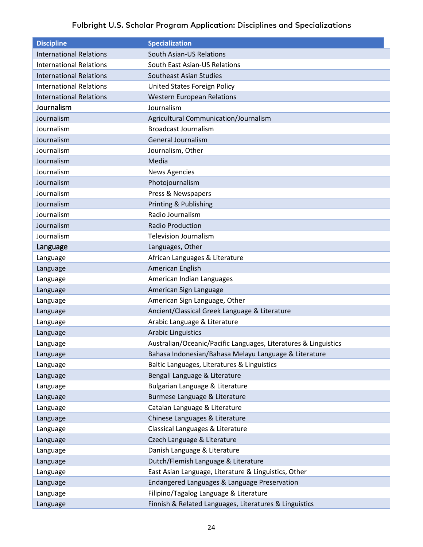<span id="page-23-1"></span><span id="page-23-0"></span>

| <b>Discipline</b>              | <b>Specialization</b>                                           |
|--------------------------------|-----------------------------------------------------------------|
| <b>International Relations</b> | <b>South Asian-US Relations</b>                                 |
| <b>International Relations</b> | South East Asian-US Relations                                   |
| <b>International Relations</b> | <b>Southeast Asian Studies</b>                                  |
| <b>International Relations</b> | United States Foreign Policy                                    |
| <b>International Relations</b> | <b>Western European Relations</b>                               |
| Journalism                     | Journalism                                                      |
| Journalism                     | Agricultural Communication/Journalism                           |
| Journalism                     | <b>Broadcast Journalism</b>                                     |
| Journalism                     | <b>General Journalism</b>                                       |
| Journalism                     | Journalism, Other                                               |
| Journalism                     | Media                                                           |
| Journalism                     | <b>News Agencies</b>                                            |
| Journalism                     | Photojournalism                                                 |
| Journalism                     | Press & Newspapers                                              |
| Journalism                     | Printing & Publishing                                           |
| Journalism                     | Radio Journalism                                                |
| Journalism                     | <b>Radio Production</b>                                         |
| Journalism                     | <b>Television Journalism</b>                                    |
| Language                       | Languages, Other                                                |
| Language                       | African Languages & Literature                                  |
| Language                       | American English                                                |
| Language                       | American Indian Languages                                       |
| Language                       | American Sign Language                                          |
| Language                       | American Sign Language, Other                                   |
| Language                       | Ancient/Classical Greek Language & Literature                   |
| Language                       | Arabic Language & Literature                                    |
| Language                       | <b>Arabic Linguistics</b>                                       |
| Language                       | Australian/Oceanic/Pacific Languages, Literatures & Linguistics |
| Language                       | Bahasa Indonesian/Bahasa Melayu Language & Literature           |
| Language                       | Baltic Languages, Literatures & Linguistics                     |
| Language                       | Bengali Language & Literature                                   |
| Language                       | Bulgarian Language & Literature                                 |
| Language                       | Burmese Language & Literature                                   |
| Language                       | Catalan Language & Literature                                   |
| Language                       | Chinese Languages & Literature                                  |
| Language                       | Classical Languages & Literature                                |
| Language                       | Czech Language & Literature                                     |
| Language                       | Danish Language & Literature                                    |
| Language                       | Dutch/Flemish Language & Literature                             |
| Language                       | East Asian Language, Literature & Linguistics, Other            |
| Language                       | Endangered Languages & Language Preservation                    |
| Language                       | Filipino/Tagalog Language & Literature                          |
| Language                       | Finnish & Related Languages, Literatures & Linguistics          |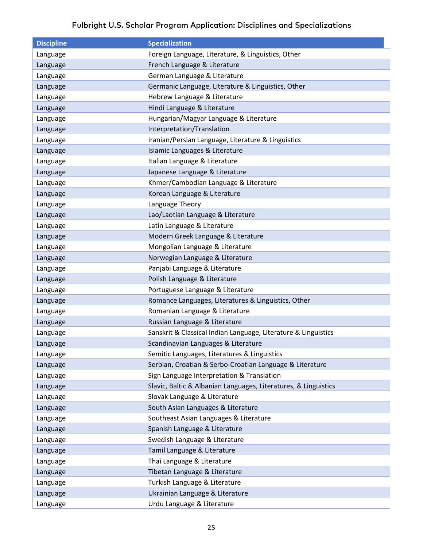| <b>Discipline</b> | <b>Specialization</b>                                           |
|-------------------|-----------------------------------------------------------------|
| Language          | Foreign Language, Literature, & Linguistics, Other              |
| Language          | French Language & Literature                                    |
| Language          | German Language & Literature                                    |
| Language          | Germanic Language, Literature & Linguistics, Other              |
| Language          | Hebrew Language & Literature                                    |
| Language          | Hindi Language & Literature                                     |
| Language          | Hungarian/Magyar Language & Literature                          |
| Language          | Interpretation/Translation                                      |
| Language          | Iranian/Persian Language, Literature & Linguistics              |
| Language          | Islamic Languages & Literature                                  |
| Language          | Italian Language & Literature                                   |
| Language          | Japanese Language & Literature                                  |
| Language          | Khmer/Cambodian Language & Literature                           |
| Language          | Korean Language & Literature                                    |
| Language          | Language Theory                                                 |
| Language          | Lao/Laotian Language & Literature                               |
| Language          | Latin Language & Literature                                     |
| Language          | Modern Greek Language & Literature                              |
| Language          | Mongolian Language & Literature                                 |
| Language          | Norwegian Language & Literature                                 |
| Language          | Panjabi Language & Literature                                   |
| Language          | Polish Language & Literature                                    |
| Language          | Portuguese Language & Literature                                |
| Language          | Romance Languages, Literatures & Linguistics, Other             |
| Language          | Romanian Language & Literature                                  |
| Language          | Russian Language & Literature                                   |
| Language          | Sanskrit & Classical Indian Language, Literature & Linguistics  |
| Language          | Scandinavian Languages & Literature                             |
| Language          | Semitic Languages, Literatures & Linguistics                    |
| Language          | Serbian, Croatian & Serbo-Croatian Language & Literature        |
| Language          | Sign Language Interpretation & Translation                      |
| Language          | Slavic, Baltic & Albanian Languages, Literatures, & Linguistics |
| Language          | Slovak Language & Literature                                    |
| Language          | South Asian Languages & Literature                              |
| Language          | Southeast Asian Languages & Literature                          |
| Language          | Spanish Language & Literature                                   |
| Language          | Swedish Language & Literature                                   |
| Language          | Tamil Language & Literature                                     |
| Language          | Thai Language & Literature                                      |
| Language          | Tibetan Language & Literature                                   |
| Language          | Turkish Language & Literature                                   |
| Language          | Ukrainian Language & Literature                                 |
| Language          | Urdu Language & Literature                                      |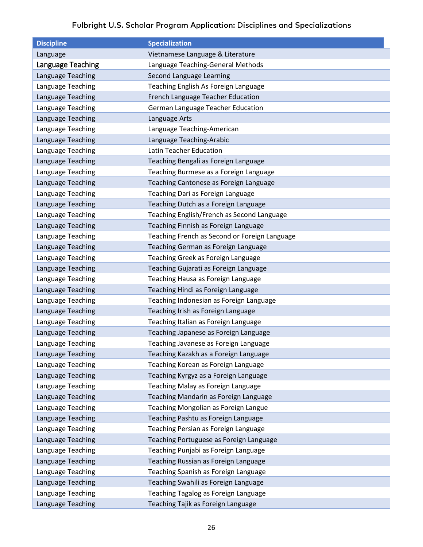<span id="page-25-0"></span>

| <b>Discipline</b> | <b>Specialization</b>                         |
|-------------------|-----------------------------------------------|
| Language          | Vietnamese Language & Literature              |
| Language Teaching | Language Teaching-General Methods             |
| Language Teaching | Second Language Learning                      |
| Language Teaching | Teaching English As Foreign Language          |
| Language Teaching | French Language Teacher Education             |
| Language Teaching | German Language Teacher Education             |
| Language Teaching | Language Arts                                 |
| Language Teaching | Language Teaching-American                    |
| Language Teaching | Language Teaching-Arabic                      |
| Language Teaching | <b>Latin Teacher Education</b>                |
| Language Teaching | Teaching Bengali as Foreign Language          |
| Language Teaching | Teaching Burmese as a Foreign Language        |
| Language Teaching | Teaching Cantonese as Foreign Language        |
| Language Teaching | Teaching Dari as Foreign Language             |
| Language Teaching | Teaching Dutch as a Foreign Language          |
| Language Teaching | Teaching English/French as Second Language    |
| Language Teaching | Teaching Finnish as Foreign Language          |
| Language Teaching | Teaching French as Second or Foreign Language |
| Language Teaching | Teaching German as Foreign Language           |
| Language Teaching | Teaching Greek as Foreign Language            |
| Language Teaching | Teaching Gujarati as Foreign Language         |
| Language Teaching | Teaching Hausa as Foreign Language            |
| Language Teaching | Teaching Hindi as Foreign Language            |
| Language Teaching | Teaching Indonesian as Foreign Language       |
| Language Teaching | Teaching Irish as Foreign Language            |
| Language Teaching | Teaching Italian as Foreign Language          |
| Language Teaching | Teaching Japanese as Foreign Language         |
| Language Teaching | Teaching Javanese as Foreign Language         |
| Language Teaching | Teaching Kazakh as a Foreign Language         |
| Language Teaching | Teaching Korean as Foreign Language           |
| Language Teaching | Teaching Kyrgyz as a Foreign Language         |
| Language Teaching | Teaching Malay as Foreign Language            |
| Language Teaching | Teaching Mandarin as Foreign Language         |
| Language Teaching | Teaching Mongolian as Foreign Langue          |
| Language Teaching | Teaching Pashtu as Foreign Language           |
| Language Teaching | Teaching Persian as Foreign Language          |
| Language Teaching | Teaching Portuguese as Foreign Language       |
| Language Teaching | Teaching Punjabi as Foreign Language          |
| Language Teaching | Teaching Russian as Foreign Language          |
| Language Teaching | Teaching Spanish as Foreign Language          |
| Language Teaching | Teaching Swahili as Foreign Language          |
| Language Teaching | Teaching Tagalog as Foreign Language          |
| Language Teaching | Teaching Tajik as Foreign Language            |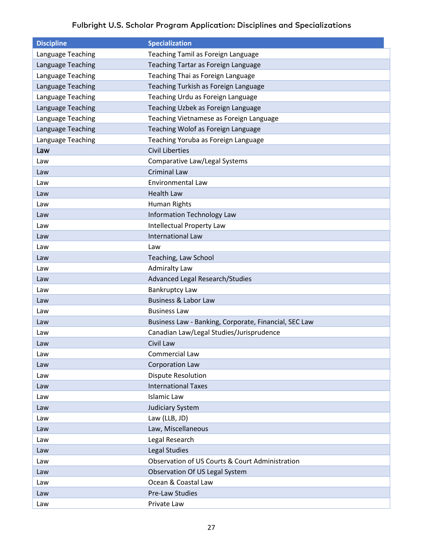<span id="page-26-0"></span>

| <b>Discipline</b> | <b>Specialization</b>                                 |
|-------------------|-------------------------------------------------------|
| Language Teaching | Teaching Tamil as Foreign Language                    |
| Language Teaching | Teaching Tartar as Foreign Language                   |
| Language Teaching | Teaching Thai as Foreign Language                     |
| Language Teaching | Teaching Turkish as Foreign Language                  |
| Language Teaching | Teaching Urdu as Foreign Language                     |
| Language Teaching | Teaching Uzbek as Foreign Language                    |
| Language Teaching | Teaching Vietnamese as Foreign Language               |
| Language Teaching | Teaching Wolof as Foreign Language                    |
| Language Teaching | Teaching Yoruba as Foreign Language                   |
| Law               | <b>Civil Liberties</b>                                |
| Law               | Comparative Law/Legal Systems                         |
| Law               | <b>Criminal Law</b>                                   |
| Law               | <b>Environmental Law</b>                              |
| Law               | <b>Health Law</b>                                     |
| Law               | Human Rights                                          |
| Law               | <b>Information Technology Law</b>                     |
| Law               | <b>Intellectual Property Law</b>                      |
| Law               | <b>International Law</b>                              |
| Law               | Law                                                   |
| Law               | Teaching, Law School                                  |
| Law               | <b>Admiralty Law</b>                                  |
| Law               | Advanced Legal Research/Studies                       |
| Law               | <b>Bankruptcy Law</b>                                 |
| Law               | <b>Business &amp; Labor Law</b>                       |
| Law               | <b>Business Law</b>                                   |
| Law               | Business Law - Banking, Corporate, Financial, SEC Law |
| Law               | Canadian Law/Legal Studies/Jurisprudence              |
| Law               | Civil Law                                             |
| Law               | Commercial Law                                        |
| Law               | <b>Corporation Law</b>                                |
| Law               | <b>Dispute Resolution</b>                             |
| Law               | <b>International Taxes</b>                            |
| Law               | <b>Islamic Law</b>                                    |
| Law               | <b>Judiciary System</b>                               |
| Law               | Law (LLB, JD)                                         |
| Law               | Law, Miscellaneous                                    |
| Law               | Legal Research                                        |
| Law               | Legal Studies                                         |
| Law               | Observation of US Courts & Court Administration       |
| Law               | Observation Of US Legal System                        |
| Law               | Ocean & Coastal Law                                   |
| Law               | Pre-Law Studies                                       |
| Law               | Private Law                                           |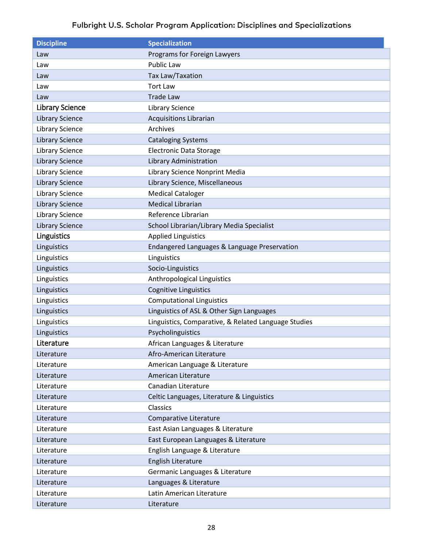<span id="page-27-2"></span><span id="page-27-1"></span><span id="page-27-0"></span>

| <b>Discipline</b>      | <b>Specialization</b>                                |
|------------------------|------------------------------------------------------|
| Law                    | Programs for Foreign Lawyers                         |
| Law                    | <b>Public Law</b>                                    |
| Law                    | Tax Law/Taxation                                     |
| Law                    | <b>Tort Law</b>                                      |
| Law                    | <b>Trade Law</b>                                     |
| <b>Library Science</b> | <b>Library Science</b>                               |
| <b>Library Science</b> | <b>Acquisitions Librarian</b>                        |
| <b>Library Science</b> | Archives                                             |
| <b>Library Science</b> | <b>Cataloging Systems</b>                            |
| <b>Library Science</b> | <b>Electronic Data Storage</b>                       |
| <b>Library Science</b> | Library Administration                               |
| <b>Library Science</b> | Library Science Nonprint Media                       |
| <b>Library Science</b> | Library Science, Miscellaneous                       |
| <b>Library Science</b> | <b>Medical Cataloger</b>                             |
| <b>Library Science</b> | <b>Medical Librarian</b>                             |
| <b>Library Science</b> | Reference Librarian                                  |
| <b>Library Science</b> | School Librarian/Library Media Specialist            |
| Linguistics            | <b>Applied Linguistics</b>                           |
| Linguistics            | Endangered Languages & Language Preservation         |
| Linguistics            | Linguistics                                          |
| Linguistics            | Socio-Linguistics                                    |
| Linguistics            | Anthropological Linguistics                          |
| Linguistics            | <b>Cognitive Linguistics</b>                         |
| Linguistics            | <b>Computational Linguistics</b>                     |
| Linguistics            | Linguistics of ASL & Other Sign Languages            |
| Linguistics            | Linguistics, Comparative, & Related Language Studies |
| Linguistics            | Psycholinguistics                                    |
| Literature             | African Languages & Literature                       |
| Literature             | Afro-American Literature                             |
| Literature             | American Language & Literature                       |
| Literature             | American Literature                                  |
| Literature             | Canadian Literature                                  |
| Literature             | Celtic Languages, Literature & Linguistics           |
| Literature             | Classics                                             |
| Literature             | Comparative Literature                               |
| Literature             | East Asian Languages & Literature                    |
| Literature             | East European Languages & Literature                 |
| Literature             | English Language & Literature                        |
| Literature             | English Literature                                   |
| Literature             | Germanic Languages & Literature                      |
| Literature             | Languages & Literature                               |
| Literature             | Latin American Literature                            |
| Literature             | Literature                                           |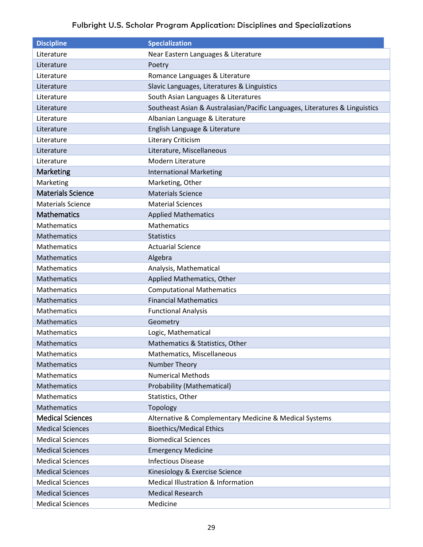<span id="page-28-3"></span><span id="page-28-2"></span><span id="page-28-1"></span><span id="page-28-0"></span>

| <b>Discipline</b>        | <b>Specialization</b>                                                       |
|--------------------------|-----------------------------------------------------------------------------|
| Literature               | Near Eastern Languages & Literature                                         |
| Literature               | Poetry                                                                      |
| Literature               | Romance Languages & Literature                                              |
| Literature               | Slavic Languages, Literatures & Linguistics                                 |
| Literature               | South Asian Languages & Literatures                                         |
| Literature               | Southeast Asian & Australasian/Pacific Languages, Literatures & Linguistics |
| Literature               | Albanian Language & Literature                                              |
| Literature               | English Language & Literature                                               |
| Literature               | Literary Criticism                                                          |
| Literature               | Literature, Miscellaneous                                                   |
| Literature               | Modern Literature                                                           |
| Marketing                | <b>International Marketing</b>                                              |
| Marketing                | Marketing, Other                                                            |
| <b>Materials Science</b> | <b>Materials Science</b>                                                    |
| <b>Materials Science</b> | <b>Material Sciences</b>                                                    |
| <b>Mathematics</b>       | <b>Applied Mathematics</b>                                                  |
| Mathematics              | <b>Mathematics</b>                                                          |
| <b>Mathematics</b>       | <b>Statistics</b>                                                           |
| Mathematics              | <b>Actuarial Science</b>                                                    |
| <b>Mathematics</b>       | Algebra                                                                     |
| <b>Mathematics</b>       | Analysis, Mathematical                                                      |
| <b>Mathematics</b>       | Applied Mathematics, Other                                                  |
| <b>Mathematics</b>       | <b>Computational Mathematics</b>                                            |
| Mathematics              | <b>Financial Mathematics</b>                                                |
| Mathematics              | <b>Functional Analysis</b>                                                  |
| Mathematics              | Geometry                                                                    |
| <b>Mathematics</b>       | Logic, Mathematical                                                         |
| <b>Mathematics</b>       | Mathematics & Statistics, Other                                             |
| Mathematics              | Mathematics, Miscellaneous                                                  |
| Mathematics              | Number Theory                                                               |
| Mathematics              | <b>Numerical Methods</b>                                                    |
| Mathematics              | Probability (Mathematical)                                                  |
| Mathematics              | Statistics, Other                                                           |
| Mathematics              | Topology                                                                    |
| <b>Medical Sciences</b>  | Alternative & Complementary Medicine & Medical Systems                      |
| <b>Medical Sciences</b>  | <b>Bioethics/Medical Ethics</b>                                             |
| <b>Medical Sciences</b>  | <b>Biomedical Sciences</b>                                                  |
| <b>Medical Sciences</b>  | <b>Emergency Medicine</b>                                                   |
| <b>Medical Sciences</b>  | <b>Infectious Disease</b>                                                   |
| <b>Medical Sciences</b>  | Kinesiology & Exercise Science                                              |
| <b>Medical Sciences</b>  | Medical Illustration & Information                                          |
| <b>Medical Sciences</b>  | <b>Medical Research</b>                                                     |
| <b>Medical Sciences</b>  | Medicine                                                                    |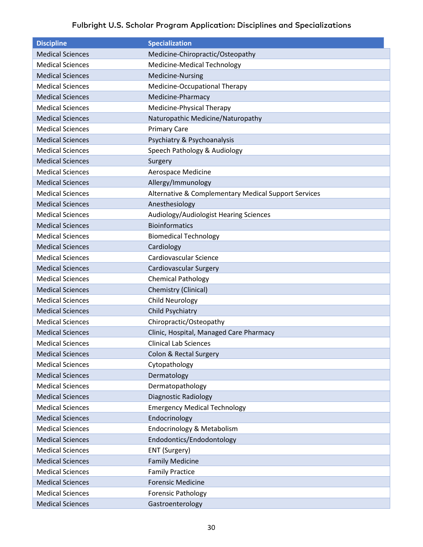| <b>Discipline</b>       | <b>Specialization</b>                                |
|-------------------------|------------------------------------------------------|
| <b>Medical Sciences</b> | Medicine-Chiropractic/Osteopathy                     |
| <b>Medical Sciences</b> | Medicine-Medical Technology                          |
| <b>Medical Sciences</b> | Medicine-Nursing                                     |
| <b>Medical Sciences</b> | Medicine-Occupational Therapy                        |
| <b>Medical Sciences</b> | Medicine-Pharmacy                                    |
| <b>Medical Sciences</b> | Medicine-Physical Therapy                            |
| <b>Medical Sciences</b> | Naturopathic Medicine/Naturopathy                    |
| <b>Medical Sciences</b> | <b>Primary Care</b>                                  |
| <b>Medical Sciences</b> | Psychiatry & Psychoanalysis                          |
| <b>Medical Sciences</b> | Speech Pathology & Audiology                         |
| <b>Medical Sciences</b> | Surgery                                              |
| <b>Medical Sciences</b> | Aerospace Medicine                                   |
| <b>Medical Sciences</b> | Allergy/Immunology                                   |
| <b>Medical Sciences</b> | Alternative & Complementary Medical Support Services |
| <b>Medical Sciences</b> | Anesthesiology                                       |
| <b>Medical Sciences</b> | Audiology/Audiologist Hearing Sciences               |
| <b>Medical Sciences</b> | <b>Bioinformatics</b>                                |
| <b>Medical Sciences</b> | <b>Biomedical Technology</b>                         |
| <b>Medical Sciences</b> | Cardiology                                           |
| <b>Medical Sciences</b> | Cardiovascular Science                               |
| <b>Medical Sciences</b> | Cardiovascular Surgery                               |
| <b>Medical Sciences</b> | <b>Chemical Pathology</b>                            |
| <b>Medical Sciences</b> | Chemistry (Clinical)                                 |
| <b>Medical Sciences</b> | <b>Child Neurology</b>                               |
| <b>Medical Sciences</b> | Child Psychiatry                                     |
| <b>Medical Sciences</b> | Chiropractic/Osteopathy                              |
| <b>Medical Sciences</b> | Clinic, Hospital, Managed Care Pharmacy              |
| <b>Medical Sciences</b> | <b>Clinical Lab Sciences</b>                         |
| <b>Medical Sciences</b> | Colon & Rectal Surgery                               |
| <b>Medical Sciences</b> | Cytopathology                                        |
| <b>Medical Sciences</b> | Dermatology                                          |
| <b>Medical Sciences</b> | Dermatopathology                                     |
| <b>Medical Sciences</b> | <b>Diagnostic Radiology</b>                          |
| <b>Medical Sciences</b> | <b>Emergency Medical Technology</b>                  |
| <b>Medical Sciences</b> | Endocrinology                                        |
| <b>Medical Sciences</b> | Endocrinology & Metabolism                           |
| <b>Medical Sciences</b> | Endodontics/Endodontology                            |
| <b>Medical Sciences</b> | ENT (Surgery)                                        |
| <b>Medical Sciences</b> | <b>Family Medicine</b>                               |
| <b>Medical Sciences</b> | <b>Family Practice</b>                               |
| <b>Medical Sciences</b> | <b>Forensic Medicine</b>                             |
| <b>Medical Sciences</b> | <b>Forensic Pathology</b>                            |
| <b>Medical Sciences</b> | Gastroenterology                                     |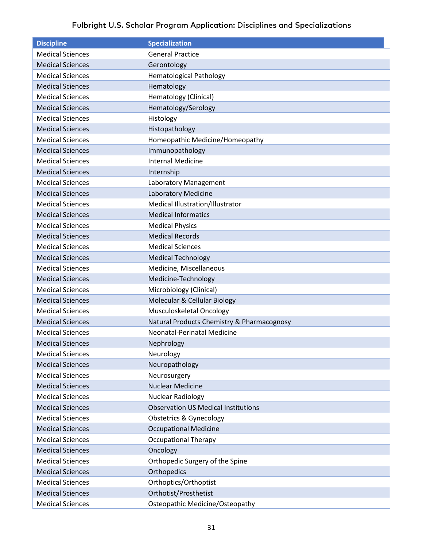| <b>Discipline</b>       | <b>Specialization</b>                      |
|-------------------------|--------------------------------------------|
| <b>Medical Sciences</b> | <b>General Practice</b>                    |
| <b>Medical Sciences</b> | Gerontology                                |
| <b>Medical Sciences</b> | <b>Hematological Pathology</b>             |
| <b>Medical Sciences</b> | Hematology                                 |
| <b>Medical Sciences</b> | Hematology (Clinical)                      |
| <b>Medical Sciences</b> | Hematology/Serology                        |
| <b>Medical Sciences</b> | Histology                                  |
| <b>Medical Sciences</b> | Histopathology                             |
| <b>Medical Sciences</b> | Homeopathic Medicine/Homeopathy            |
| <b>Medical Sciences</b> | Immunopathology                            |
| <b>Medical Sciences</b> | <b>Internal Medicine</b>                   |
| <b>Medical Sciences</b> | Internship                                 |
| <b>Medical Sciences</b> | Laboratory Management                      |
| <b>Medical Sciences</b> | Laboratory Medicine                        |
| <b>Medical Sciences</b> | Medical Illustration/Illustrator           |
| <b>Medical Sciences</b> | <b>Medical Informatics</b>                 |
| <b>Medical Sciences</b> | <b>Medical Physics</b>                     |
| <b>Medical Sciences</b> | <b>Medical Records</b>                     |
| <b>Medical Sciences</b> | <b>Medical Sciences</b>                    |
| <b>Medical Sciences</b> | <b>Medical Technology</b>                  |
| <b>Medical Sciences</b> | Medicine, Miscellaneous                    |
| <b>Medical Sciences</b> | Medicine-Technology                        |
| <b>Medical Sciences</b> | Microbiology (Clinical)                    |
| <b>Medical Sciences</b> | Molecular & Cellular Biology               |
| <b>Medical Sciences</b> | Musculoskeletal Oncology                   |
| <b>Medical Sciences</b> | Natural Products Chemistry & Pharmacognosy |
| <b>Medical Sciences</b> | Neonatal-Perinatal Medicine                |
| <b>Medical Sciences</b> | Nephrology                                 |
| <b>Medical Sciences</b> | Neurology                                  |
| <b>Medical Sciences</b> | Neuropathology                             |
| <b>Medical Sciences</b> | Neurosurgery                               |
| <b>Medical Sciences</b> | <b>Nuclear Medicine</b>                    |
| <b>Medical Sciences</b> | Nuclear Radiology                          |
| <b>Medical Sciences</b> | <b>Observation US Medical Institutions</b> |
| <b>Medical Sciences</b> | <b>Obstetrics &amp; Gynecology</b>         |
| <b>Medical Sciences</b> | <b>Occupational Medicine</b>               |
| <b>Medical Sciences</b> | <b>Occupational Therapy</b>                |
| <b>Medical Sciences</b> | Oncology                                   |
| <b>Medical Sciences</b> | Orthopedic Surgery of the Spine            |
| <b>Medical Sciences</b> | Orthopedics                                |
| <b>Medical Sciences</b> | Orthoptics/Orthoptist                      |
| <b>Medical Sciences</b> | Orthotist/Prosthetist                      |
| <b>Medical Sciences</b> | Osteopathic Medicine/Osteopathy            |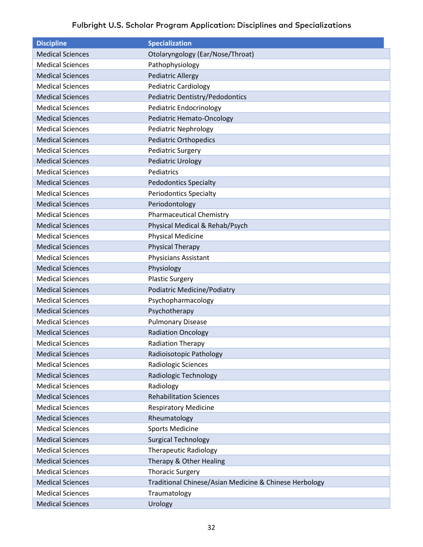| <b>Discipline</b>       | <b>Specialization</b>                                  |
|-------------------------|--------------------------------------------------------|
| <b>Medical Sciences</b> | Otolaryngology (Ear/Nose/Throat)                       |
| <b>Medical Sciences</b> | Pathophysiology                                        |
| <b>Medical Sciences</b> | <b>Pediatric Allergy</b>                               |
| <b>Medical Sciences</b> | <b>Pediatric Cardiology</b>                            |
| <b>Medical Sciences</b> | Pediatric Dentistry/Pedodontics                        |
| <b>Medical Sciences</b> | <b>Pediatric Endocrinology</b>                         |
| <b>Medical Sciences</b> | <b>Pediatric Hemato-Oncology</b>                       |
| <b>Medical Sciences</b> | <b>Pediatric Nephrology</b>                            |
| <b>Medical Sciences</b> | <b>Pediatric Orthopedics</b>                           |
| <b>Medical Sciences</b> | Pediatric Surgery                                      |
| <b>Medical Sciences</b> | <b>Pediatric Urology</b>                               |
| <b>Medical Sciences</b> | Pediatrics                                             |
| <b>Medical Sciences</b> | <b>Pedodontics Specialty</b>                           |
| <b>Medical Sciences</b> | <b>Periodontics Specialty</b>                          |
| <b>Medical Sciences</b> | Periodontology                                         |
| <b>Medical Sciences</b> | <b>Pharmaceutical Chemistry</b>                        |
| <b>Medical Sciences</b> | Physical Medical & Rehab/Psych                         |
| <b>Medical Sciences</b> | <b>Physical Medicine</b>                               |
| <b>Medical Sciences</b> | <b>Physical Therapy</b>                                |
| <b>Medical Sciences</b> | Physicians Assistant                                   |
| <b>Medical Sciences</b> | Physiology                                             |
| <b>Medical Sciences</b> | <b>Plastic Surgery</b>                                 |
| <b>Medical Sciences</b> | Podiatric Medicine/Podiatry                            |
| <b>Medical Sciences</b> | Psychopharmacology                                     |
| <b>Medical Sciences</b> | Psychotherapy                                          |
| <b>Medical Sciences</b> | <b>Pulmonary Disease</b>                               |
| <b>Medical Sciences</b> | <b>Radiation Oncology</b>                              |
| <b>Medical Sciences</b> | <b>Radiation Therapy</b>                               |
| <b>Medical Sciences</b> | Radioisotopic Pathology                                |
| <b>Medical Sciences</b> | Radiologic Sciences                                    |
| <b>Medical Sciences</b> | Radiologic Technology                                  |
| <b>Medical Sciences</b> | Radiology                                              |
| <b>Medical Sciences</b> | <b>Rehabilitation Sciences</b>                         |
| <b>Medical Sciences</b> | <b>Respiratory Medicine</b>                            |
| <b>Medical Sciences</b> | Rheumatology                                           |
| <b>Medical Sciences</b> | <b>Sports Medicine</b>                                 |
| <b>Medical Sciences</b> | <b>Surgical Technology</b>                             |
| <b>Medical Sciences</b> | <b>Therapeutic Radiology</b>                           |
| <b>Medical Sciences</b> | Therapy & Other Healing                                |
| <b>Medical Sciences</b> | <b>Thoracic Surgery</b>                                |
| <b>Medical Sciences</b> | Traditional Chinese/Asian Medicine & Chinese Herbology |
| <b>Medical Sciences</b> | Traumatology                                           |
| <b>Medical Sciences</b> | Urology                                                |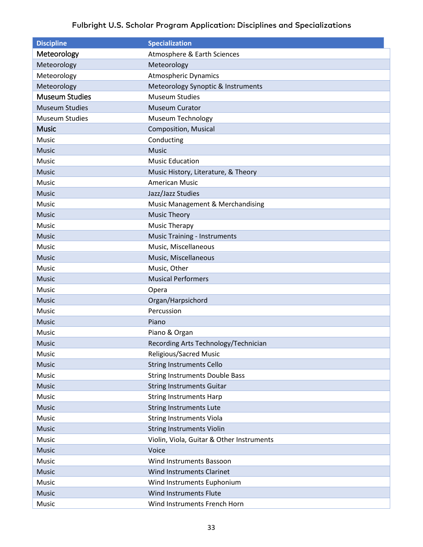<span id="page-32-2"></span><span id="page-32-1"></span><span id="page-32-0"></span>

| <b>Discipline</b>     | <b>Specialization</b>                     |
|-----------------------|-------------------------------------------|
| Meteorology           | Atmosphere & Earth Sciences               |
| Meteorology           | Meteorology                               |
| Meteorology           | <b>Atmospheric Dynamics</b>               |
| Meteorology           | Meteorology Synoptic & Instruments        |
| <b>Museum Studies</b> | <b>Museum Studies</b>                     |
| <b>Museum Studies</b> | <b>Museum Curator</b>                     |
| <b>Museum Studies</b> | Museum Technology                         |
| <b>Music</b>          | <b>Composition, Musical</b>               |
| Music                 | Conducting                                |
| <b>Music</b>          | <b>Music</b>                              |
| Music                 | <b>Music Education</b>                    |
| <b>Music</b>          | Music History, Literature, & Theory       |
| Music                 | <b>American Music</b>                     |
| <b>Music</b>          | Jazz/Jazz Studies                         |
| Music                 | Music Management & Merchandising          |
| <b>Music</b>          | <b>Music Theory</b>                       |
| Music                 | <b>Music Therapy</b>                      |
| <b>Music</b>          | <b>Music Training - Instruments</b>       |
| Music                 | Music, Miscellaneous                      |
| <b>Music</b>          | Music, Miscellaneous                      |
| Music                 | Music, Other                              |
| <b>Music</b>          | <b>Musical Performers</b>                 |
| Music                 | Opera                                     |
| Music                 | Organ/Harpsichord                         |
| Music                 | Percussion                                |
| <b>Music</b>          | Piano                                     |
| Music                 | Piano & Organ                             |
| <b>Music</b>          | Recording Arts Technology/Technician      |
| Music                 | Religious/Sacred Music                    |
| Music                 | <b>String Instruments Cello</b>           |
| Music                 | <b>String Instruments Double Bass</b>     |
| Music                 | <b>String Instruments Guitar</b>          |
| Music                 | <b>String Instruments Harp</b>            |
| Music                 | <b>String Instruments Lute</b>            |
| Music                 | <b>String Instruments Viola</b>           |
| Music                 | <b>String Instruments Violin</b>          |
| Music                 | Violin, Viola, Guitar & Other Instruments |
| Music                 | Voice                                     |
| Music                 | Wind Instruments Bassoon                  |
| Music                 | Wind Instruments Clarinet                 |
| Music                 | Wind Instruments Euphonium                |
| Music                 | Wind Instruments Flute                    |
| Music                 | Wind Instruments French Horn              |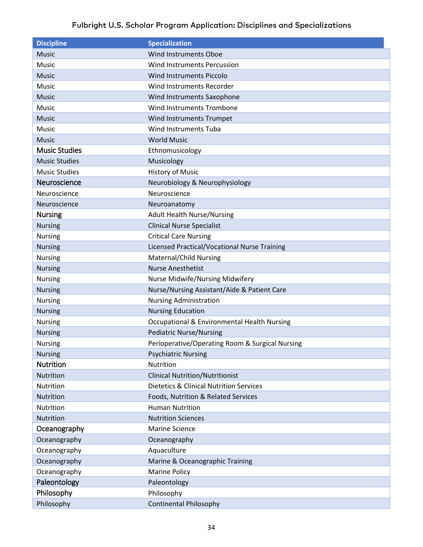<span id="page-33-6"></span><span id="page-33-5"></span><span id="page-33-4"></span><span id="page-33-3"></span><span id="page-33-2"></span><span id="page-33-1"></span><span id="page-33-0"></span>

| <b>Discipline</b>    | <b>Specialization</b>                              |
|----------------------|----------------------------------------------------|
| <b>Music</b>         | <b>Wind Instruments Oboe</b>                       |
| Music                | <b>Wind Instruments Percussion</b>                 |
| <b>Music</b>         | <b>Wind Instruments Piccolo</b>                    |
| Music                | Wind Instruments Recorder                          |
| <b>Music</b>         | Wind Instruments Saxophone                         |
| Music                | Wind Instruments Trombone                          |
| <b>Music</b>         | Wind Instruments Trumpet                           |
| Music                | <b>Wind Instruments Tuba</b>                       |
| <b>Music</b>         | <b>World Music</b>                                 |
| <b>Music Studies</b> | Ethnomusicology                                    |
| <b>Music Studies</b> | Musicology                                         |
| <b>Music Studies</b> | <b>History of Music</b>                            |
| Neuroscience         | Neurobiology & Neurophysiology                     |
| Neuroscience         | Neuroscience                                       |
| Neuroscience         | Neuroanatomy                                       |
| <b>Nursing</b>       | <b>Adult Health Nurse/Nursing</b>                  |
| <b>Nursing</b>       | <b>Clinical Nurse Specialist</b>                   |
| <b>Nursing</b>       | <b>Critical Care Nursing</b>                       |
| <b>Nursing</b>       | Licensed Practical/Vocational Nurse Training       |
| <b>Nursing</b>       | <b>Maternal/Child Nursing</b>                      |
| <b>Nursing</b>       | <b>Nurse Anesthetist</b>                           |
| <b>Nursing</b>       | Nurse Midwife/Nursing Midwifery                    |
| <b>Nursing</b>       | Nurse/Nursing Assistant/Aide & Patient Care        |
| <b>Nursing</b>       | <b>Nursing Administration</b>                      |
| <b>Nursing</b>       | <b>Nursing Education</b>                           |
| <b>Nursing</b>       | Occupational & Environmental Health Nursing        |
| <b>Nursing</b>       | <b>Pediatric Nurse/Nursing</b>                     |
| <b>Nursing</b>       | Perioperative/Operating Room & Surgical Nursing    |
| <b>Nursing</b>       | <b>Psychiatric Nursing</b>                         |
| <b>Nutrition</b>     | <b>Nutrition</b>                                   |
| Nutrition            | <b>Clinical Nutrition/Nutritionist</b>             |
| Nutrition            | <b>Dietetics &amp; Clinical Nutrition Services</b> |
| Nutrition            | Foods, Nutrition & Related Services                |
| Nutrition            | <b>Human Nutrition</b>                             |
| Nutrition            | <b>Nutrition Sciences</b>                          |
| Oceanography         | <b>Marine Science</b>                              |
| Oceanography         | Oceanography                                       |
| Oceanography         | Aquaculture                                        |
| Oceanography         | Marine & Oceanographic Training                    |
| Oceanography         | <b>Marine Policy</b>                               |
| Paleontology         | Paleontology                                       |
| Philosophy           | Philosophy                                         |
| Philosophy           | <b>Continental Philosophy</b>                      |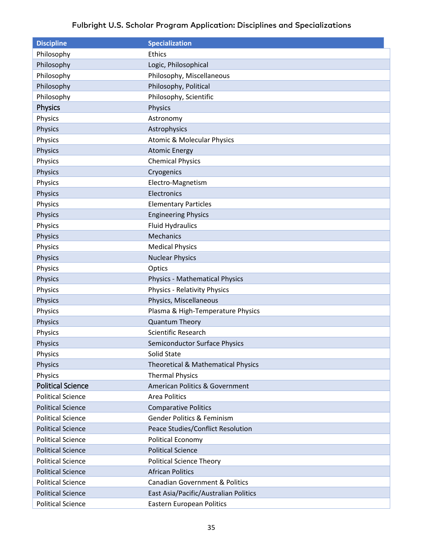<span id="page-34-1"></span><span id="page-34-0"></span>

| <b>Discipline</b>        | <b>Specialization</b>                         |
|--------------------------|-----------------------------------------------|
| Philosophy               | <b>Ethics</b>                                 |
| Philosophy               | Logic, Philosophical                          |
| Philosophy               | Philosophy, Miscellaneous                     |
| Philosophy               | Philosophy, Political                         |
| Philosophy               | Philosophy, Scientific                        |
| <b>Physics</b>           | <b>Physics</b>                                |
| Physics                  | Astronomy                                     |
| Physics                  | Astrophysics                                  |
| Physics                  | <b>Atomic &amp; Molecular Physics</b>         |
| Physics                  | <b>Atomic Energy</b>                          |
| Physics                  | <b>Chemical Physics</b>                       |
| Physics                  | Cryogenics                                    |
| Physics                  | Electro-Magnetism                             |
| Physics                  | Electronics                                   |
| Physics                  | <b>Elementary Particles</b>                   |
| <b>Physics</b>           | <b>Engineering Physics</b>                    |
| Physics                  | <b>Fluid Hydraulics</b>                       |
| <b>Physics</b>           | Mechanics                                     |
| Physics                  | <b>Medical Physics</b>                        |
| <b>Physics</b>           | <b>Nuclear Physics</b>                        |
| Physics                  | Optics                                        |
| <b>Physics</b>           | <b>Physics - Mathematical Physics</b>         |
| Physics                  | <b>Physics - Relativity Physics</b>           |
| Physics                  | Physics, Miscellaneous                        |
| Physics                  | Plasma & High-Temperature Physics             |
| Physics                  | <b>Quantum Theory</b>                         |
| Physics                  | <b>Scientific Research</b>                    |
| <b>Physics</b>           | Semiconductor Surface Physics                 |
| Physics                  | Solid State                                   |
| <b>Physics</b>           | <b>Theoretical &amp; Mathematical Physics</b> |
| Physics                  | <b>Thermal Physics</b>                        |
| <b>Political Science</b> | American Politics & Government                |
| <b>Political Science</b> | Area Politics                                 |
| <b>Political Science</b> | <b>Comparative Politics</b>                   |
| <b>Political Science</b> | <b>Gender Politics &amp; Feminism</b>         |
| <b>Political Science</b> | Peace Studies/Conflict Resolution             |
| <b>Political Science</b> | <b>Political Economy</b>                      |
| <b>Political Science</b> | <b>Political Science</b>                      |
| <b>Political Science</b> | <b>Political Science Theory</b>               |
| <b>Political Science</b> | <b>African Politics</b>                       |
| <b>Political Science</b> | <b>Canadian Government &amp; Politics</b>     |
| <b>Political Science</b> | East Asia/Pacific/Australian Politics         |
| <b>Political Science</b> | <b>Eastern European Politics</b>              |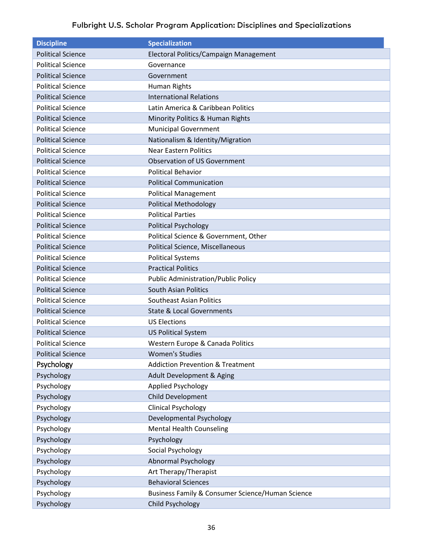<span id="page-35-0"></span>

| <b>Discipline</b>        | <b>Specialization</b>                            |
|--------------------------|--------------------------------------------------|
| <b>Political Science</b> | Electoral Politics/Campaign Management           |
| <b>Political Science</b> | Governance                                       |
| <b>Political Science</b> | Government                                       |
| <b>Political Science</b> | Human Rights                                     |
| <b>Political Science</b> | <b>International Relations</b>                   |
| <b>Political Science</b> | Latin America & Caribbean Politics               |
| <b>Political Science</b> | Minority Politics & Human Rights                 |
| <b>Political Science</b> | <b>Municipal Government</b>                      |
| <b>Political Science</b> | Nationalism & Identity/Migration                 |
| <b>Political Science</b> | <b>Near Eastern Politics</b>                     |
| <b>Political Science</b> | <b>Observation of US Government</b>              |
| <b>Political Science</b> | <b>Political Behavior</b>                        |
| <b>Political Science</b> | <b>Political Communication</b>                   |
| <b>Political Science</b> | <b>Political Management</b>                      |
| <b>Political Science</b> | <b>Political Methodology</b>                     |
| <b>Political Science</b> | <b>Political Parties</b>                         |
| <b>Political Science</b> | <b>Political Psychology</b>                      |
| <b>Political Science</b> | Political Science & Government, Other            |
| <b>Political Science</b> | Political Science, Miscellaneous                 |
| <b>Political Science</b> | <b>Political Systems</b>                         |
| <b>Political Science</b> | <b>Practical Politics</b>                        |
| <b>Political Science</b> | <b>Public Administration/Public Policy</b>       |
| <b>Political Science</b> | <b>South Asian Politics</b>                      |
| <b>Political Science</b> | <b>Southeast Asian Politics</b>                  |
| <b>Political Science</b> | <b>State &amp; Local Governments</b>             |
| <b>Political Science</b> | <b>US Elections</b>                              |
| <b>Political Science</b> | <b>US Political System</b>                       |
| <b>Political Science</b> | Western Europe & Canada Politics                 |
| <b>Political Science</b> | <b>Women's Studies</b>                           |
| Psychology               | <b>Addiction Prevention &amp; Treatment</b>      |
| Psychology               | Adult Development & Aging                        |
| Psychology               | Applied Psychology                               |
| Psychology               | Child Development                                |
| Psychology               | <b>Clinical Psychology</b>                       |
| Psychology               | Developmental Psychology                         |
| Psychology               | <b>Mental Health Counseling</b>                  |
| Psychology               | Psychology                                       |
| Psychology               | Social Psychology                                |
| Psychology               | <b>Abnormal Psychology</b>                       |
| Psychology               | Art Therapy/Therapist                            |
| Psychology               | <b>Behavioral Sciences</b>                       |
| Psychology               | Business Family & Consumer Science/Human Science |
| Psychology               | <b>Child Psychology</b>                          |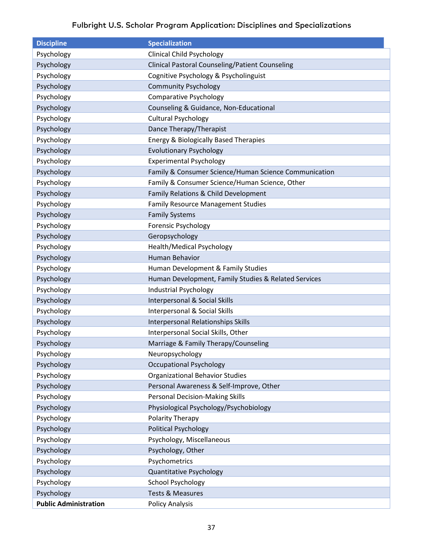| <b>Discipline</b>            | <b>Specialization</b>                                  |
|------------------------------|--------------------------------------------------------|
| Psychology                   | <b>Clinical Child Psychology</b>                       |
| Psychology                   | <b>Clinical Pastoral Counseling/Patient Counseling</b> |
| Psychology                   | Cognitive Psychology & Psycholinguist                  |
| Psychology                   | <b>Community Psychology</b>                            |
| Psychology                   | <b>Comparative Psychology</b>                          |
| Psychology                   | Counseling & Guidance, Non-Educational                 |
| Psychology                   | <b>Cultural Psychology</b>                             |
| Psychology                   | Dance Therapy/Therapist                                |
| Psychology                   | <b>Energy &amp; Biologically Based Therapies</b>       |
| Psychology                   | <b>Evolutionary Psychology</b>                         |
| Psychology                   | <b>Experimental Psychology</b>                         |
| Psychology                   | Family & Consumer Science/Human Science Communication  |
| Psychology                   | Family & Consumer Science/Human Science, Other         |
| Psychology                   | Family Relations & Child Development                   |
| Psychology                   | <b>Family Resource Management Studies</b>              |
| Psychology                   | <b>Family Systems</b>                                  |
| Psychology                   | Forensic Psychology                                    |
| Psychology                   | Geropsychology                                         |
| Psychology                   | <b>Health/Medical Psychology</b>                       |
| Psychology                   | Human Behavior                                         |
| Psychology                   | Human Development & Family Studies                     |
| Psychology                   | Human Development, Family Studies & Related Services   |
| Psychology                   | Industrial Psychology                                  |
| Psychology                   | Interpersonal & Social Skills                          |
| Psychology                   | Interpersonal & Social Skills                          |
| Psychology                   | <b>Interpersonal Relationships Skills</b>              |
| Psychology                   | Interpersonal Social Skills, Other                     |
| Psychology                   | Marriage & Family Therapy/Counseling                   |
| Psychology                   | Neuropsychology                                        |
| Psychology                   | <b>Occupational Psychology</b>                         |
| Psychology                   | <b>Organizational Behavior Studies</b>                 |
| Psychology                   | Personal Awareness & Self-Improve, Other               |
| Psychology                   | <b>Personal Decision-Making Skills</b>                 |
| Psychology                   | Physiological Psychology/Psychobiology                 |
| Psychology                   | Polarity Therapy                                       |
| Psychology                   | <b>Political Psychology</b>                            |
| Psychology                   | Psychology, Miscellaneous                              |
| Psychology                   | Psychology, Other                                      |
| Psychology                   | Psychometrics                                          |
| Psychology                   | <b>Quantitative Psychology</b>                         |
| Psychology                   | <b>School Psychology</b>                               |
| Psychology                   | <b>Tests &amp; Measures</b>                            |
| <b>Public Administration</b> | <b>Policy Analysis</b>                                 |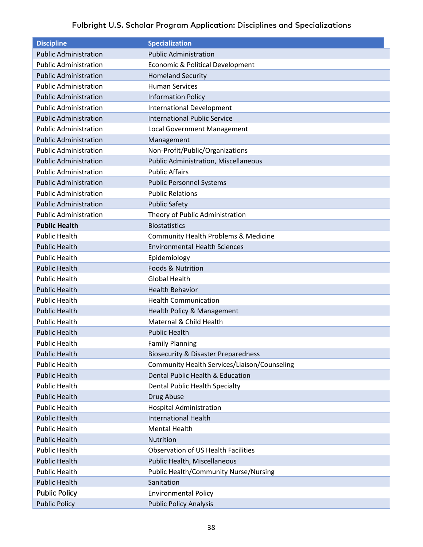<span id="page-37-0"></span>

| <b>Discipline</b>            | <b>Specialization</b>                          |
|------------------------------|------------------------------------------------|
| <b>Public Administration</b> | <b>Public Administration</b>                   |
| <b>Public Administration</b> | Economic & Political Development               |
| <b>Public Administration</b> | <b>Homeland Security</b>                       |
| <b>Public Administration</b> | <b>Human Services</b>                          |
| <b>Public Administration</b> | <b>Information Policy</b>                      |
| <b>Public Administration</b> | <b>International Development</b>               |
| <b>Public Administration</b> | <b>International Public Service</b>            |
| <b>Public Administration</b> | Local Government Management                    |
| <b>Public Administration</b> | Management                                     |
| <b>Public Administration</b> | Non-Profit/Public/Organizations                |
| <b>Public Administration</b> | <b>Public Administration, Miscellaneous</b>    |
| <b>Public Administration</b> | <b>Public Affairs</b>                          |
| <b>Public Administration</b> | <b>Public Personnel Systems</b>                |
| <b>Public Administration</b> | <b>Public Relations</b>                        |
| <b>Public Administration</b> | <b>Public Safety</b>                           |
| <b>Public Administration</b> | Theory of Public Administration                |
| <b>Public Health</b>         | <b>Biostatistics</b>                           |
| <b>Public Health</b>         | Community Health Problems & Medicine           |
| <b>Public Health</b>         | <b>Environmental Health Sciences</b>           |
| <b>Public Health</b>         | Epidemiology                                   |
| <b>Public Health</b>         | <b>Foods &amp; Nutrition</b>                   |
| <b>Public Health</b>         | <b>Global Health</b>                           |
| <b>Public Health</b>         | <b>Health Behavior</b>                         |
| <b>Public Health</b>         | <b>Health Communication</b>                    |
| <b>Public Health</b>         | Health Policy & Management                     |
| <b>Public Health</b>         | Maternal & Child Health                        |
| <b>Public Health</b>         | <b>Public Health</b>                           |
| <b>Public Health</b>         | <b>Family Planning</b>                         |
| <b>Public Health</b>         | <b>Biosecurity &amp; Disaster Preparedness</b> |
| <b>Public Health</b>         | Community Health Services/Liaison/Counseling   |
| <b>Public Health</b>         | Dental Public Health & Education               |
| <b>Public Health</b>         | Dental Public Health Specialty                 |
| <b>Public Health</b>         | Drug Abuse                                     |
| <b>Public Health</b>         | <b>Hospital Administration</b>                 |
| <b>Public Health</b>         | <b>International Health</b>                    |
| <b>Public Health</b>         | <b>Mental Health</b>                           |
| <b>Public Health</b>         | Nutrition                                      |
| <b>Public Health</b>         | <b>Observation of US Health Facilities</b>     |
| <b>Public Health</b>         | Public Health, Miscellaneous                   |
| <b>Public Health</b>         | <b>Public Health/Community Nurse/Nursing</b>   |
| <b>Public Health</b>         | Sanitation                                     |
| <b>Public Policy</b>         | <b>Environmental Policy</b>                    |
| <b>Public Policy</b>         | <b>Public Policy Analysis</b>                  |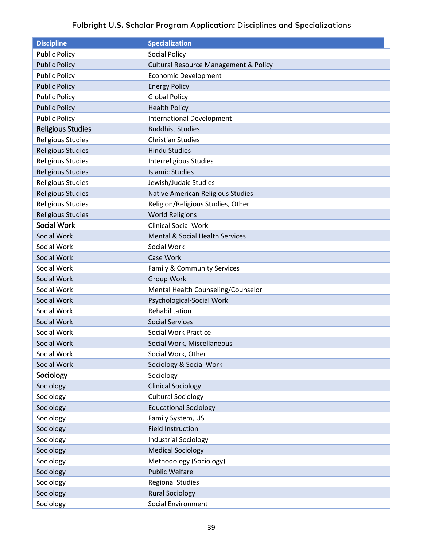<span id="page-38-2"></span><span id="page-38-1"></span><span id="page-38-0"></span>

| <b>Discipline</b>        | <b>Specialization</b>                            |
|--------------------------|--------------------------------------------------|
| <b>Public Policy</b>     | <b>Social Policy</b>                             |
| <b>Public Policy</b>     | <b>Cultural Resource Management &amp; Policy</b> |
| <b>Public Policy</b>     | <b>Economic Development</b>                      |
| <b>Public Policy</b>     | <b>Energy Policy</b>                             |
| <b>Public Policy</b>     | <b>Global Policy</b>                             |
| <b>Public Policy</b>     | <b>Health Policy</b>                             |
| <b>Public Policy</b>     | <b>International Development</b>                 |
| <b>Religious Studies</b> | <b>Buddhist Studies</b>                          |
| <b>Religious Studies</b> | <b>Christian Studies</b>                         |
| <b>Religious Studies</b> | <b>Hindu Studies</b>                             |
| <b>Religious Studies</b> | Interreligious Studies                           |
| <b>Religious Studies</b> | <b>Islamic Studies</b>                           |
| <b>Religious Studies</b> | Jewish/Judaic Studies                            |
| <b>Religious Studies</b> | Native American Religious Studies                |
| <b>Religious Studies</b> | Religion/Religious Studies, Other                |
| <b>Religious Studies</b> | <b>World Religions</b>                           |
| Social Work              | <b>Clinical Social Work</b>                      |
| Social Work              | Mental & Social Health Services                  |
| Social Work              | Social Work                                      |
| Social Work              | Case Work                                        |
| Social Work              | Family & Community Services                      |
| Social Work              | Group Work                                       |
| Social Work              | Mental Health Counseling/Counselor               |
| Social Work              | Psychological-Social Work                        |
| Social Work              | Rehabilitation                                   |
| Social Work              | <b>Social Services</b>                           |
| Social Work              | <b>Social Work Practice</b>                      |
| Social Work              | Social Work, Miscellaneous                       |
| Social Work              | Social Work, Other                               |
| Social Work              | Sociology & Social Work                          |
| Sociology                | Sociology                                        |
| Sociology                | <b>Clinical Sociology</b>                        |
| Sociology                | <b>Cultural Sociology</b>                        |
| Sociology                | <b>Educational Sociology</b>                     |
| Sociology                | Family System, US                                |
| Sociology                | <b>Field Instruction</b>                         |
| Sociology                | <b>Industrial Sociology</b>                      |
| Sociology                | <b>Medical Sociology</b>                         |
| Sociology                | Methodology (Sociology)                          |
| Sociology                | <b>Public Welfare</b>                            |
| Sociology                | <b>Regional Studies</b>                          |
| Sociology                | <b>Rural Sociology</b>                           |
| Sociology                | Social Environment                               |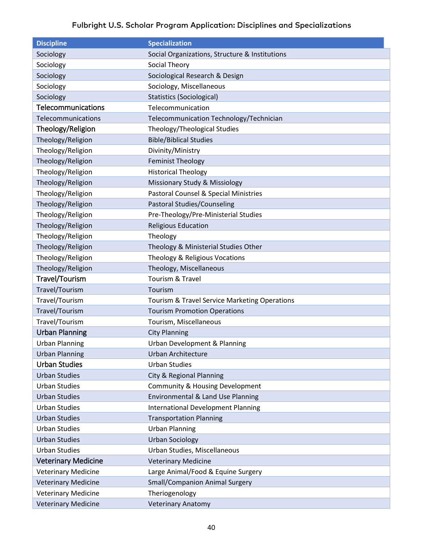<span id="page-39-5"></span><span id="page-39-4"></span><span id="page-39-3"></span><span id="page-39-2"></span><span id="page-39-1"></span><span id="page-39-0"></span>

| <b>Discipline</b>          | <b>Specialization</b>                          |
|----------------------------|------------------------------------------------|
| Sociology                  | Social Organizations, Structure & Institutions |
| Sociology                  | Social Theory                                  |
| Sociology                  | Sociological Research & Design                 |
| Sociology                  | Sociology, Miscellaneous                       |
| Sociology                  | <b>Statistics (Sociological)</b>               |
| Telecommunications         | Telecommunication                              |
| Telecommunications         | Telecommunication Technology/Technician        |
| Theology/Religion          | Theology/Theological Studies                   |
| Theology/Religion          | <b>Bible/Biblical Studies</b>                  |
| Theology/Religion          | Divinity/Ministry                              |
| Theology/Religion          | <b>Feminist Theology</b>                       |
| Theology/Religion          | <b>Historical Theology</b>                     |
| Theology/Religion          | Missionary Study & Missiology                  |
| Theology/Religion          | Pastoral Counsel & Special Ministries          |
| Theology/Religion          | Pastoral Studies/Counseling                    |
| Theology/Religion          | Pre-Theology/Pre-Ministerial Studies           |
| Theology/Religion          | <b>Religious Education</b>                     |
| Theology/Religion          | Theology                                       |
| Theology/Religion          | Theology & Ministerial Studies Other           |
| Theology/Religion          | Theology & Religious Vocations                 |
| Theology/Religion          | Theology, Miscellaneous                        |
| Travel/Tourism             | Tourism & Travel                               |
| Travel/Tourism             | Tourism                                        |
| Travel/Tourism             | Tourism & Travel Service Marketing Operations  |
| Travel/Tourism             | <b>Tourism Promotion Operations</b>            |
| Travel/Tourism             | Tourism, Miscellaneous                         |
| <b>Urban Planning</b>      | <b>City Planning</b>                           |
| <b>Urban Planning</b>      | Urban Development & Planning                   |
| <b>Urban Planning</b>      | Urban Architecture                             |
| <b>Urban Studies</b>       | <b>Urban Studies</b>                           |
| <b>Urban Studies</b>       | City & Regional Planning                       |
| <b>Urban Studies</b>       | <b>Community &amp; Housing Development</b>     |
| <b>Urban Studies</b>       | Environmental & Land Use Planning              |
| <b>Urban Studies</b>       | <b>International Development Planning</b>      |
| <b>Urban Studies</b>       | <b>Transportation Planning</b>                 |
| <b>Urban Studies</b>       | <b>Urban Planning</b>                          |
| <b>Urban Studies</b>       | <b>Urban Sociology</b>                         |
| <b>Urban Studies</b>       | Urban Studies, Miscellaneous                   |
| <b>Veterinary Medicine</b> | <b>Veterinary Medicine</b>                     |
| <b>Veterinary Medicine</b> | Large Animal/Food & Equine Surgery             |
| <b>Veterinary Medicine</b> | <b>Small/Companion Animal Surgery</b>          |
| <b>Veterinary Medicine</b> | Theriogenology                                 |
| <b>Veterinary Medicine</b> | <b>Veterinary Anatomy</b>                      |